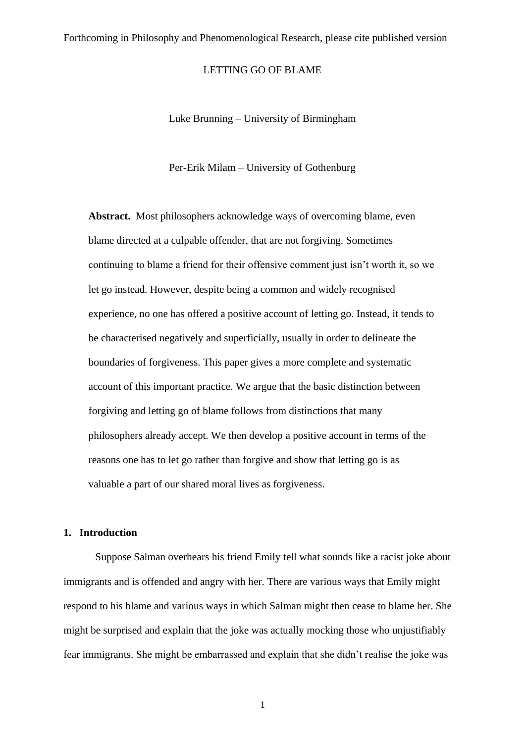#### LETTING GO OF BLAME

### Luke Brunning – University of Birmingham

Per-Erik Milam – University of Gothenburg

**Abstract.** Most philosophers acknowledge ways of overcoming blame, even blame directed at a culpable offender, that are not forgiving. Sometimes continuing to blame a friend for their offensive comment just isn't worth it, so we let go instead. However, despite being a common and widely recognised experience, no one has offered a positive account of letting go. Instead, it tends to be characterised negatively and superficially, usually in order to delineate the boundaries of forgiveness. This paper gives a more complete and systematic account of this important practice. We argue that the basic distinction between forgiving and letting go of blame follows from distinctions that many philosophers already accept. We then develop a positive account in terms of the reasons one has to let go rather than forgive and show that letting go is as valuable a part of our shared moral lives as forgiveness.

#### **1. Introduction**

Suppose Salman overhears his friend Emily tell what sounds like a racist joke about immigrants and is offended and angry with her. There are various ways that Emily might respond to his blame and various ways in which Salman might then cease to blame her. She might be surprised and explain that the joke was actually mocking those who unjustifiably fear immigrants. She might be embarrassed and explain that she didn't realise the joke was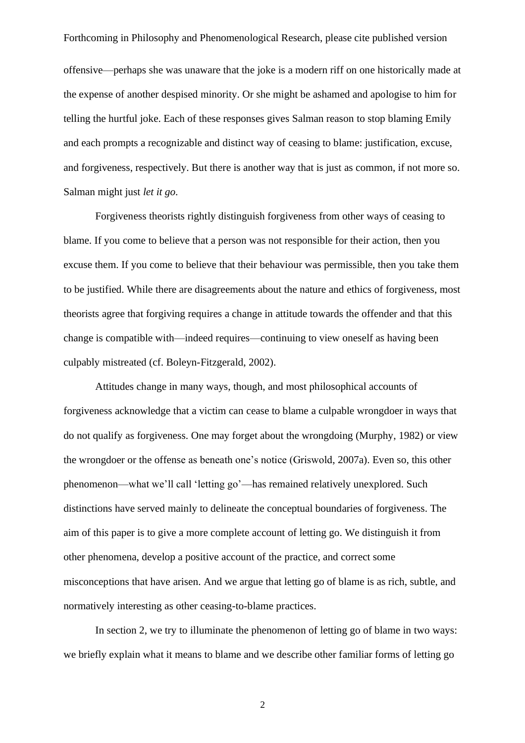offensive—perhaps she was unaware that the joke is a modern riff on one historically made at the expense of another despised minority. Or she might be ashamed and apologise to him for telling the hurtful joke. Each of these responses gives Salman reason to stop blaming Emily and each prompts a recognizable and distinct way of ceasing to blame: justification, excuse, and forgiveness, respectively. But there is another way that is just as common, if not more so. Salman might just *let it go*.

Forgiveness theorists rightly distinguish forgiveness from other ways of ceasing to blame. If you come to believe that a person was not responsible for their action, then you excuse them. If you come to believe that their behaviour was permissible, then you take them to be justified. While there are disagreements about the nature and ethics of forgiveness, most theorists agree that forgiving requires a change in attitude towards the offender and that this change is compatible with—indeed requires—continuing to view oneself as having been culpably mistreated (cf. Boleyn-Fitzgerald, 2002).

Attitudes change in many ways, though, and most philosophical accounts of forgiveness acknowledge that a victim can cease to blame a culpable wrongdoer in ways that do not qualify as forgiveness. One may forget about the wrongdoing (Murphy, 1982) or view the wrongdoer or the offense as beneath one's notice (Griswold, 2007a). Even so, this other phenomenon—what we'll call 'letting go'—has remained relatively unexplored. Such distinctions have served mainly to delineate the conceptual boundaries of forgiveness. The aim of this paper is to give a more complete account of letting go. We distinguish it from other phenomena, develop a positive account of the practice, and correct some misconceptions that have arisen. And we argue that letting go of blame is as rich, subtle, and normatively interesting as other ceasing-to-blame practices.

In section 2, we try to illuminate the phenomenon of letting go of blame in two ways: we briefly explain what it means to blame and we describe other familiar forms of letting go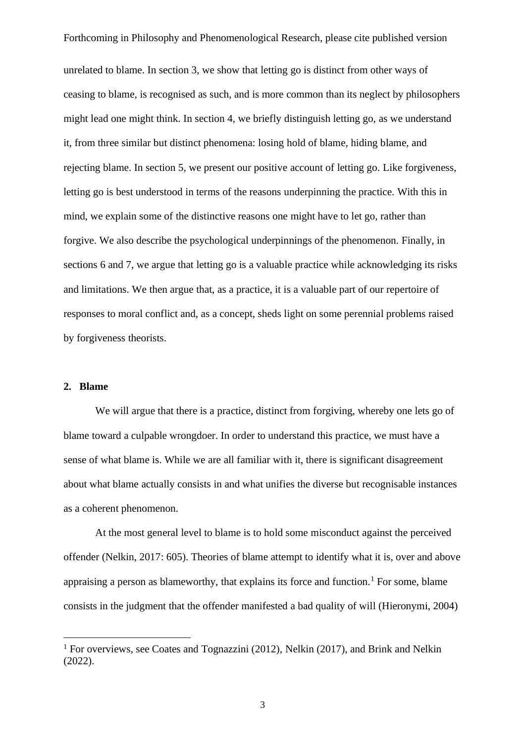unrelated to blame. In section 3, we show that letting go is distinct from other ways of ceasing to blame, is recognised as such, and is more common than its neglect by philosophers might lead one might think. In section 4, we briefly distinguish letting go, as we understand it, from three similar but distinct phenomena: losing hold of blame, hiding blame, and rejecting blame. In section 5, we present our positive account of letting go. Like forgiveness, letting go is best understood in terms of the reasons underpinning the practice. With this in mind, we explain some of the distinctive reasons one might have to let go, rather than forgive. We also describe the psychological underpinnings of the phenomenon. Finally, in sections 6 and 7, we argue that letting go is a valuable practice while acknowledging its risks and limitations. We then argue that, as a practice, it is a valuable part of our repertoire of responses to moral conflict and, as a concept, sheds light on some perennial problems raised by forgiveness theorists.

#### **2. Blame**

We will argue that there is a practice, distinct from forgiving, whereby one lets go of blame toward a culpable wrongdoer. In order to understand this practice, we must have a sense of what blame is. While we are all familiar with it, there is significant disagreement about what blame actually consists in and what unifies the diverse but recognisable instances as a coherent phenomenon.

At the most general level to blame is to hold some misconduct against the perceived offender (Nelkin, 2017: 605). Theories of blame attempt to identify what it is, over and above appraising a person as blameworthy, that explains its force and function.<sup>1</sup> For some, blame consists in the judgment that the offender manifested a bad quality of will (Hieronymi, 2004)

<sup>&</sup>lt;sup>1</sup> For overviews, see Coates and Tognazzini (2012), Nelkin (2017), and Brink and Nelkin (2022).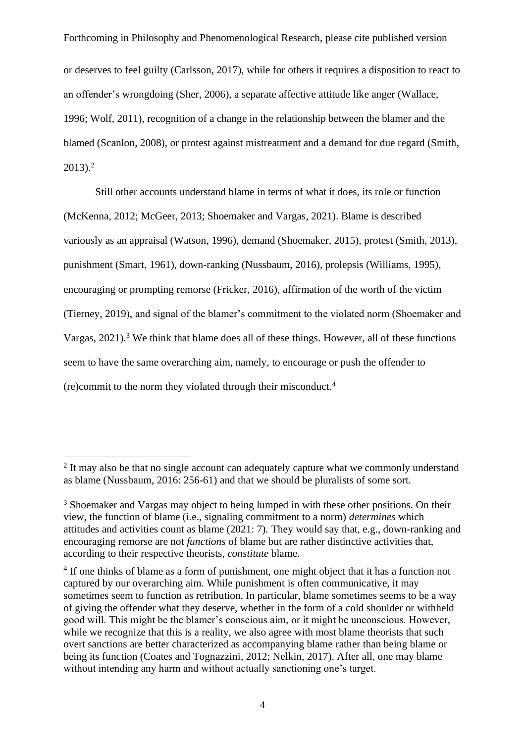Forthcoming in Philosophy and Phenomenological Research, please cite published version or deserves to feel guilty (Carlsson, 2017), while for others it requires a disposition to react to an offender's wrongdoing (Sher, 2006), a separate affective attitude like anger (Wallace, 1996; Wolf, 2011), recognition of a change in the relationship between the blamer and the blamed (Scanlon, 2008), or protest against mistreatment and a demand for due regard (Smith,  $2013$ .<sup>2</sup>

Still other accounts understand blame in terms of what it does, its role or function (McKenna, 2012; McGeer, 2013; Shoemaker and Vargas, 2021). Blame is described variously as an appraisal (Watson, 1996), demand (Shoemaker, 2015), protest (Smith, 2013), punishment (Smart, 1961), down-ranking (Nussbaum, 2016), prolepsis (Williams, 1995), encouraging or prompting remorse (Fricker, 2016), affirmation of the worth of the victim (Tierney, 2019), and signal of the blamer's commitment to the violated norm (Shoemaker and Vargas,  $2021$ ).<sup>3</sup> We think that blame does all of these things. However, all of these functions seem to have the same overarching aim, namely, to encourage or push the offender to (re)commit to the norm they violated through their misconduct.<sup>4</sup>

<sup>&</sup>lt;sup>2</sup> It may also be that no single account can adequately capture what we commonly understand as blame (Nussbaum, 2016: 256-61) and that we should be pluralists of some sort.

<sup>&</sup>lt;sup>3</sup> Shoemaker and Vargas may object to being lumped in with these other positions. On their view, the function of blame (i.e., signaling commitment to a norm) *determines* which attitudes and activities count as blame (2021: 7). They would say that, e.g., down-ranking and encouraging remorse are not *functions* of blame but are rather distinctive activities that, according to their respective theorists, *constitute* blame.

<sup>&</sup>lt;sup>4</sup> If one thinks of blame as a form of punishment, one might object that it has a function not captured by our overarching aim. While punishment is often communicative, it may sometimes seem to function as retribution. In particular, blame sometimes seems to be a way of giving the offender what they deserve, whether in the form of a cold shoulder or withheld good will. This might be the blamer's conscious aim, or it might be unconscious. However, while we recognize that this is a reality, we also agree with most blame theorists that such overt sanctions are better characterized as accompanying blame rather than being blame or being its function (Coates and Tognazzini, 2012; Nelkin, 2017). After all, one may blame without intending any harm and without actually sanctioning one's target.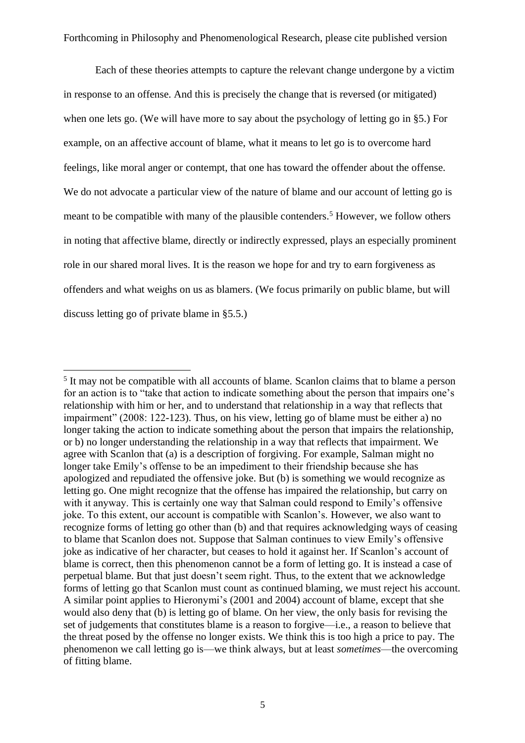Each of these theories attempts to capture the relevant change undergone by a victim in response to an offense. And this is precisely the change that is reversed (or mitigated) when one lets go. (We will have more to say about the psychology of letting go in §5.) For example, on an affective account of blame, what it means to let go is to overcome hard feelings, like moral anger or contempt, that one has toward the offender about the offense. We do not advocate a particular view of the nature of blame and our account of letting go is meant to be compatible with many of the plausible contenders.<sup>5</sup> However, we follow others in noting that affective blame, directly or indirectly expressed, plays an especially prominent role in our shared moral lives. It is the reason we hope for and try to earn forgiveness as offenders and what weighs on us as blamers. (We focus primarily on public blame, but will discuss letting go of private blame in §5.5.)

<sup>&</sup>lt;sup>5</sup> It may not be compatible with all accounts of blame. Scanlon claims that to blame a person for an action is to "take that action to indicate something about the person that impairs one's relationship with him or her, and to understand that relationship in a way that reflects that impairment" (2008: 122-123). Thus, on his view, letting go of blame must be either a) no longer taking the action to indicate something about the person that impairs the relationship, or b) no longer understanding the relationship in a way that reflects that impairment. We agree with Scanlon that (a) is a description of forgiving. For example, Salman might no longer take Emily's offense to be an impediment to their friendship because she has apologized and repudiated the offensive joke. But (b) is something we would recognize as letting go. One might recognize that the offense has impaired the relationship, but carry on with it anyway. This is certainly one way that Salman could respond to Emily's offensive joke. To this extent, our account is compatible with Scanlon's. However, we also want to recognize forms of letting go other than (b) and that requires acknowledging ways of ceasing to blame that Scanlon does not. Suppose that Salman continues to view Emily's offensive joke as indicative of her character, but ceases to hold it against her. If Scanlon's account of blame is correct, then this phenomenon cannot be a form of letting go. It is instead a case of perpetual blame. But that just doesn't seem right. Thus, to the extent that we acknowledge forms of letting go that Scanlon must count as continued blaming, we must reject his account. A similar point applies to Hieronymi's (2001 and 2004) account of blame, except that she would also deny that (b) is letting go of blame. On her view, the only basis for revising the set of judgements that constitutes blame is a reason to forgive—i.e., a reason to believe that the threat posed by the offense no longer exists. We think this is too high a price to pay. The phenomenon we call letting go is—we think always, but at least *sometimes*—the overcoming of fitting blame.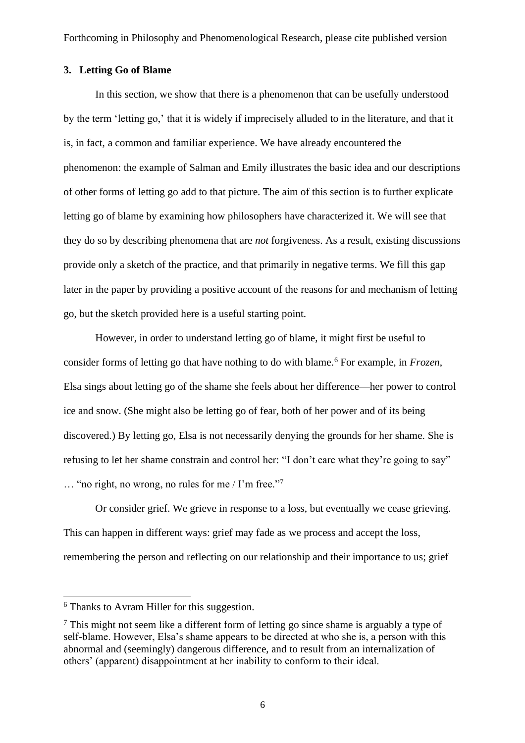## **3. Letting Go of Blame**

In this section, we show that there is a phenomenon that can be usefully understood by the term 'letting go,' that it is widely if imprecisely alluded to in the literature, and that it is, in fact, a common and familiar experience. We have already encountered the phenomenon: the example of Salman and Emily illustrates the basic idea and our descriptions of other forms of letting go add to that picture. The aim of this section is to further explicate letting go of blame by examining how philosophers have characterized it. We will see that they do so by describing phenomena that are *not* forgiveness. As a result, existing discussions provide only a sketch of the practice, and that primarily in negative terms. We fill this gap later in the paper by providing a positive account of the reasons for and mechanism of letting go, but the sketch provided here is a useful starting point.

However, in order to understand letting go of blame, it might first be useful to consider forms of letting go that have nothing to do with blame.<sup>6</sup> For example, in *Frozen*, Elsa sings about letting go of the shame she feels about her difference—her power to control ice and snow. (She might also be letting go of fear, both of her power and of its being discovered.) By letting go, Elsa is not necessarily denying the grounds for her shame. She is refusing to let her shame constrain and control her: "I don't care what they're going to say" … "no right, no wrong, no rules for me / I'm free."<sup>7</sup>

Or consider grief. We grieve in response to a loss, but eventually we cease grieving. This can happen in different ways: grief may fade as we process and accept the loss, remembering the person and reflecting on our relationship and their importance to us; grief

<sup>&</sup>lt;sup>6</sup> Thanks to Avram Hiller for this suggestion.

<sup>7</sup> This might not seem like a different form of letting go since shame is arguably a type of self-blame. However, Elsa's shame appears to be directed at who she is, a person with this abnormal and (seemingly) dangerous difference, and to result from an internalization of others' (apparent) disappointment at her inability to conform to their ideal.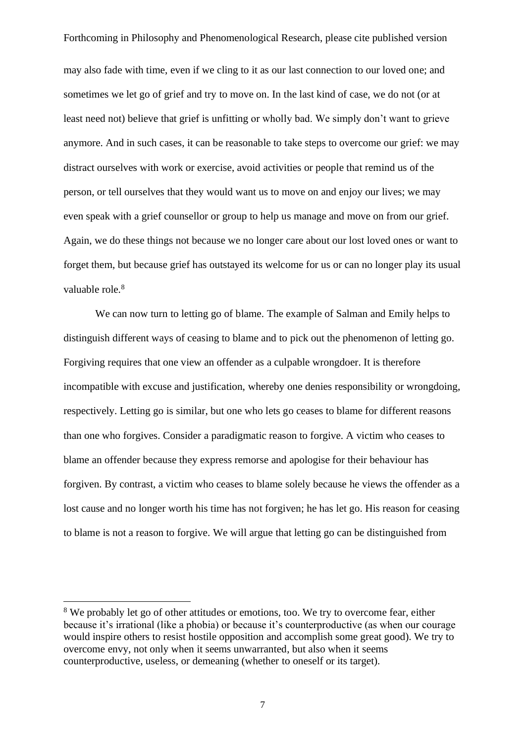may also fade with time, even if we cling to it as our last connection to our loved one; and sometimes we let go of grief and try to move on. In the last kind of case, we do not (or at least need not) believe that grief is unfitting or wholly bad. We simply don't want to grieve anymore. And in such cases, it can be reasonable to take steps to overcome our grief: we may distract ourselves with work or exercise, avoid activities or people that remind us of the person, or tell ourselves that they would want us to move on and enjoy our lives; we may even speak with a grief counsellor or group to help us manage and move on from our grief. Again, we do these things not because we no longer care about our lost loved ones or want to forget them, but because grief has outstayed its welcome for us or can no longer play its usual valuable role.<sup>8</sup>

We can now turn to letting go of blame. The example of Salman and Emily helps to distinguish different ways of ceasing to blame and to pick out the phenomenon of letting go. Forgiving requires that one view an offender as a culpable wrongdoer. It is therefore incompatible with excuse and justification, whereby one denies responsibility or wrongdoing, respectively. Letting go is similar, but one who lets go ceases to blame for different reasons than one who forgives. Consider a paradigmatic reason to forgive. A victim who ceases to blame an offender because they express remorse and apologise for their behaviour has forgiven. By contrast, a victim who ceases to blame solely because he views the offender as a lost cause and no longer worth his time has not forgiven; he has let go. His reason for ceasing to blame is not a reason to forgive. We will argue that letting go can be distinguished from

<sup>&</sup>lt;sup>8</sup> We probably let go of other attitudes or emotions, too. We try to overcome fear, either because it's irrational (like a phobia) or because it's counterproductive (as when our courage would inspire others to resist hostile opposition and accomplish some great good). We try to overcome envy, not only when it seems unwarranted, but also when it seems counterproductive, useless, or demeaning (whether to oneself or its target).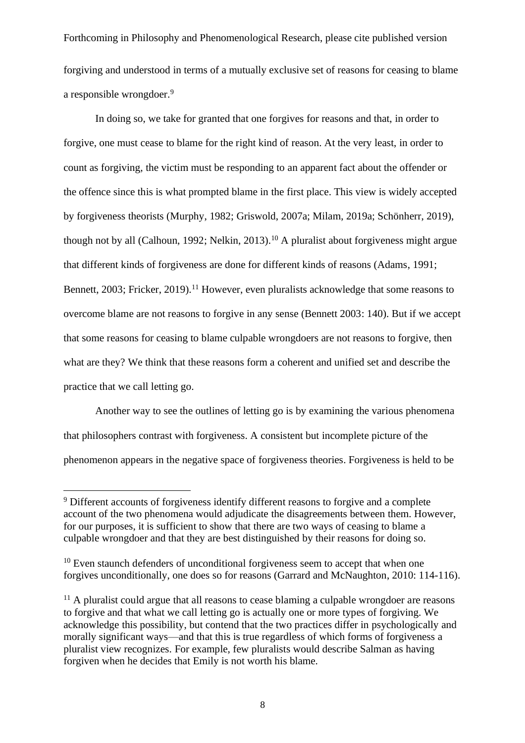Forthcoming in Philosophy and Phenomenological Research, please cite published version forgiving and understood in terms of a mutually exclusive set of reasons for ceasing to blame a responsible wrongdoer.<sup>9</sup>

In doing so, we take for granted that one forgives for reasons and that, in order to forgive, one must cease to blame for the right kind of reason. At the very least, in order to count as forgiving, the victim must be responding to an apparent fact about the offender or the offence since this is what prompted blame in the first place. This view is widely accepted by forgiveness theorists (Murphy, 1982; Griswold, 2007a; Milam, 2019a; Schönherr, 2019), though not by all (Calhoun, 1992; Nelkin, 2013).<sup>10</sup> A pluralist about forgiveness might argue that different kinds of forgiveness are done for different kinds of reasons (Adams, 1991; Bennett, 2003; Fricker, 2019).<sup>11</sup> However, even pluralists acknowledge that some reasons to overcome blame are not reasons to forgive in any sense (Bennett 2003: 140). But if we accept that some reasons for ceasing to blame culpable wrongdoers are not reasons to forgive, then what are they? We think that these reasons form a coherent and unified set and describe the practice that we call letting go.

Another way to see the outlines of letting go is by examining the various phenomena that philosophers contrast with forgiveness. A consistent but incomplete picture of the phenomenon appears in the negative space of forgiveness theories. Forgiveness is held to be

<sup>&</sup>lt;sup>9</sup> Different accounts of forgiveness identify different reasons to forgive and a complete account of the two phenomena would adjudicate the disagreements between them. However, for our purposes, it is sufficient to show that there are two ways of ceasing to blame a culpable wrongdoer and that they are best distinguished by their reasons for doing so.

<sup>&</sup>lt;sup>10</sup> Even staunch defenders of unconditional forgiveness seem to accept that when one forgives unconditionally, one does so for reasons (Garrard and McNaughton, 2010: 114-116).

 $11$  A pluralist could argue that all reasons to cease blaming a culpable wrongdoer are reasons to forgive and that what we call letting go is actually one or more types of forgiving. We acknowledge this possibility, but contend that the two practices differ in psychologically and morally significant ways—and that this is true regardless of which forms of forgiveness a pluralist view recognizes. For example, few pluralists would describe Salman as having forgiven when he decides that Emily is not worth his blame.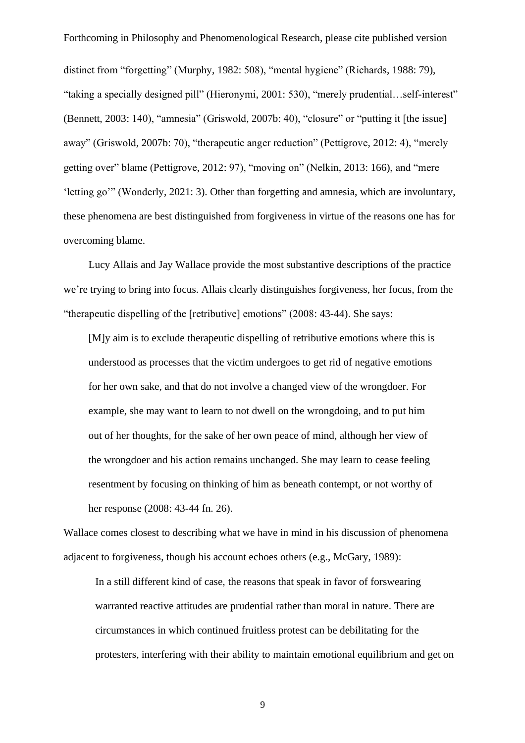distinct from "forgetting" (Murphy, 1982: 508), "mental hygiene" (Richards, 1988: 79), "taking a specially designed pill" (Hieronymi, 2001: 530), "merely prudential…self-interest" (Bennett, 2003: 140), "amnesia" (Griswold, 2007b: 40), "closure" or "putting it [the issue] away" (Griswold, 2007b: 70), "therapeutic anger reduction" (Pettigrove, 2012: 4), "merely getting over" blame (Pettigrove, 2012: 97), "moving on" (Nelkin, 2013: 166), and "mere 'letting go'" (Wonderly, 2021: 3). Other than forgetting and amnesia, which are involuntary, these phenomena are best distinguished from forgiveness in virtue of the reasons one has for overcoming blame.

Lucy Allais and Jay Wallace provide the most substantive descriptions of the practice we're trying to bring into focus. Allais clearly distinguishes forgiveness, her focus, from the "therapeutic dispelling of the [retributive] emotions" (2008: 43-44). She says:

[M]y aim is to exclude therapeutic dispelling of retributive emotions where this is understood as processes that the victim undergoes to get rid of negative emotions for her own sake, and that do not involve a changed view of the wrongdoer. For example, she may want to learn to not dwell on the wrongdoing, and to put him out of her thoughts, for the sake of her own peace of mind, although her view of the wrongdoer and his action remains unchanged. She may learn to cease feeling resentment by focusing on thinking of him as beneath contempt, or not worthy of her response (2008: 43-44 fn. 26).

Wallace comes closest to describing what we have in mind in his discussion of phenomena adjacent to forgiveness, though his account echoes others (e.g., McGary, 1989):

In a still different kind of case, the reasons that speak in favor of forswearing warranted reactive attitudes are prudential rather than moral in nature. There are circumstances in which continued fruitless protest can be debilitating for the protesters, interfering with their ability to maintain emotional equilibrium and get on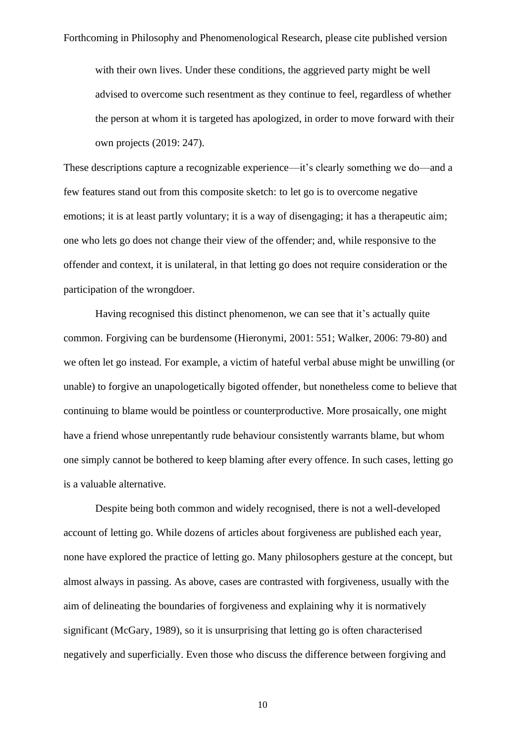with their own lives. Under these conditions, the aggrieved party might be well advised to overcome such resentment as they continue to feel, regardless of whether the person at whom it is targeted has apologized, in order to move forward with their own projects (2019: 247).

These descriptions capture a recognizable experience—it's clearly something we do—and a few features stand out from this composite sketch: to let go is to overcome negative emotions; it is at least partly voluntary; it is a way of disengaging; it has a therapeutic aim; one who lets go does not change their view of the offender; and, while responsive to the offender and context, it is unilateral, in that letting go does not require consideration or the participation of the wrongdoer.

Having recognised this distinct phenomenon, we can see that it's actually quite common. Forgiving can be burdensome (Hieronymi, 2001: 551; Walker, 2006: 79-80) and we often let go instead. For example, a victim of hateful verbal abuse might be unwilling (or unable) to forgive an unapologetically bigoted offender, but nonetheless come to believe that continuing to blame would be pointless or counterproductive. More prosaically, one might have a friend whose unrepentantly rude behaviour consistently warrants blame, but whom one simply cannot be bothered to keep blaming after every offence. In such cases, letting go is a valuable alternative.

Despite being both common and widely recognised, there is not a well-developed account of letting go. While dozens of articles about forgiveness are published each year, none have explored the practice of letting go. Many philosophers gesture at the concept, but almost always in passing. As above, cases are contrasted with forgiveness, usually with the aim of delineating the boundaries of forgiveness and explaining why it is normatively significant (McGary, 1989), so it is unsurprising that letting go is often characterised negatively and superficially. Even those who discuss the difference between forgiving and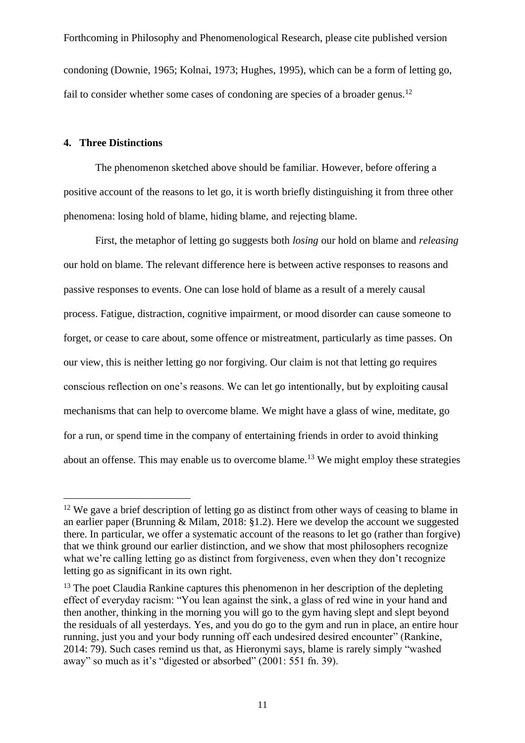Forthcoming in Philosophy and Phenomenological Research, please cite published version condoning (Downie, 1965; Kolnai, 1973; Hughes, 1995), which can be a form of letting go, fail to consider whether some cases of condoning are species of a broader genus.<sup>12</sup>

# **4. Three Distinctions**

The phenomenon sketched above should be familiar. However, before offering a positive account of the reasons to let go, it is worth briefly distinguishing it from three other phenomena: losing hold of blame, hiding blame, and rejecting blame.

First, the metaphor of letting go suggests both *losing* our hold on blame and *releasing*  our hold on blame. The relevant difference here is between active responses to reasons and passive responses to events. One can lose hold of blame as a result of a merely causal process. Fatigue, distraction, cognitive impairment, or mood disorder can cause someone to forget, or cease to care about, some offence or mistreatment, particularly as time passes. On our view, this is neither letting go nor forgiving. Our claim is not that letting go requires conscious reflection on one's reasons. We can let go intentionally, but by exploiting causal mechanisms that can help to overcome blame. We might have a glass of wine, meditate, go for a run, or spend time in the company of entertaining friends in order to avoid thinking about an offense. This may enable us to overcome blame.<sup>13</sup> We might employ these strategies

 $12$  We gave a brief description of letting go as distinct from other ways of ceasing to blame in an earlier paper (Brunning & Milam, 2018: §1.2). Here we develop the account we suggested there. In particular, we offer a systematic account of the reasons to let go (rather than forgive) that we think ground our earlier distinction, and we show that most philosophers recognize what we're calling letting go as distinct from forgiveness, even when they don't recognize letting go as significant in its own right.

<sup>&</sup>lt;sup>13</sup> The poet Claudia Rankine captures this phenomenon in her description of the depleting effect of everyday racism: "You lean against the sink, a glass of red wine in your hand and then another, thinking in the morning you will go to the gym having slept and slept beyond the residuals of all yesterdays. Yes, and you do go to the gym and run in place, an entire hour running, just you and your body running off each undesired desired encounter" (Rankine, 2014: 79). Such cases remind us that, as Hieronymi says, blame is rarely simply "washed away" so much as it's "digested or absorbed" (2001: 551 fn. 39).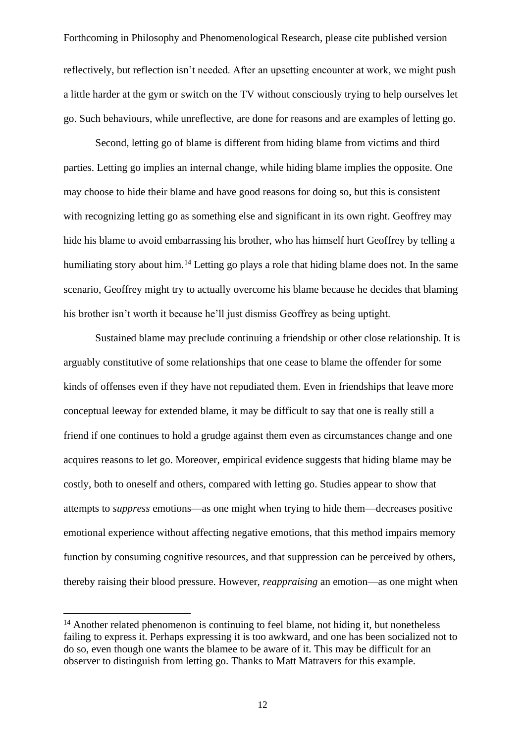Forthcoming in Philosophy and Phenomenological Research, please cite published version reflectively, but reflection isn't needed. After an upsetting encounter at work, we might push a little harder at the gym or switch on the TV without consciously trying to help ourselves let go. Such behaviours, while unreflective, are done for reasons and are examples of letting go.

Second, letting go of blame is different from hiding blame from victims and third parties. Letting go implies an internal change, while hiding blame implies the opposite. One may choose to hide their blame and have good reasons for doing so, but this is consistent with recognizing letting go as something else and significant in its own right. Geoffrey may hide his blame to avoid embarrassing his brother, who has himself hurt Geoffrey by telling a humiliating story about him.<sup>14</sup> Letting go plays a role that hiding blame does not. In the same scenario, Geoffrey might try to actually overcome his blame because he decides that blaming his brother isn't worth it because he'll just dismiss Geoffrey as being uptight.

Sustained blame may preclude continuing a friendship or other close relationship. It is arguably constitutive of some relationships that one cease to blame the offender for some kinds of offenses even if they have not repudiated them. Even in friendships that leave more conceptual leeway for extended blame, it may be difficult to say that one is really still a friend if one continues to hold a grudge against them even as circumstances change and one acquires reasons to let go. Moreover, empirical evidence suggests that hiding blame may be costly, both to oneself and others, compared with letting go. Studies appear to show that attempts to *suppress* emotions—as one might when trying to hide them—decreases positive emotional experience without affecting negative emotions, that this method impairs memory function by consuming cognitive resources, and that suppression can be perceived by others, thereby raising their blood pressure. However, *reappraising* an emotion—as one might when

 $14$  Another related phenomenon is continuing to feel blame, not hiding it, but nonetheless failing to express it. Perhaps expressing it is too awkward, and one has been socialized not to do so, even though one wants the blamee to be aware of it. This may be difficult for an observer to distinguish from letting go. Thanks to Matt Matravers for this example.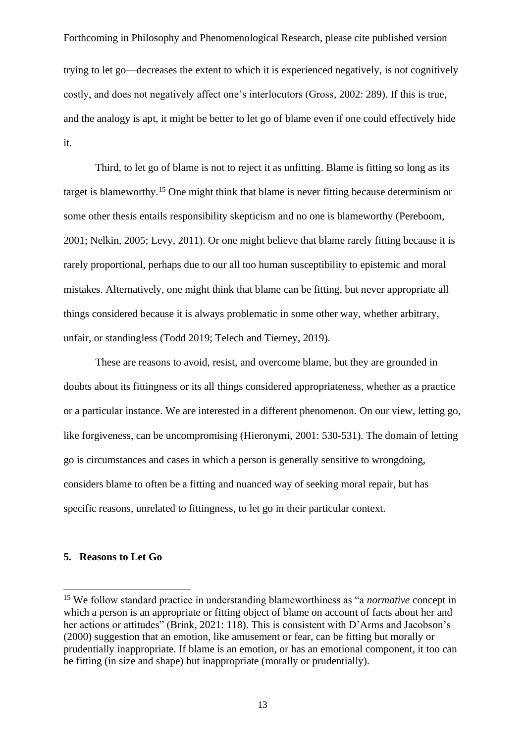trying to let go—decreases the extent to which it is experienced negatively, is not cognitively costly, and does not negatively affect one's interlocutors (Gross, 2002: 289). If this is true, and the analogy is apt, it might be better to let go of blame even if one could effectively hide it.

Third, to let go of blame is not to reject it as unfitting. Blame is fitting so long as its target is blameworthy.<sup>15</sup> One might think that blame is never fitting because determinism or some other thesis entails responsibility skepticism and no one is blameworthy (Pereboom, 2001; Nelkin, 2005; Levy, 2011). Or one might believe that blame rarely fitting because it is rarely proportional, perhaps due to our all too human susceptibility to epistemic and moral mistakes. Alternatively, one might think that blame can be fitting, but never appropriate all things considered because it is always problematic in some other way, whether arbitrary, unfair, or standingless (Todd 2019; Telech and Tierney, 2019).

These are reasons to avoid, resist, and overcome blame, but they are grounded in doubts about its fittingness or its all things considered appropriateness, whether as a practice or a particular instance. We are interested in a different phenomenon. On our view, letting go, like forgiveness, can be uncompromising (Hieronymi, 2001: 530-531). The domain of letting go is circumstances and cases in which a person is generally sensitive to wrongdoing, considers blame to often be a fitting and nuanced way of seeking moral repair, but has specific reasons, unrelated to fittingness, to let go in their particular context.

## **5. Reasons to Let Go**

<sup>15</sup> We follow standard practice in understanding blameworthiness as "a *normative* concept in which a person is an appropriate or fitting object of blame on account of facts about her and her actions or attitudes" (Brink, 2021: 118). This is consistent with D'Arms and Jacobson's (2000) suggestion that an emotion, like amusement or fear, can be fitting but morally or prudentially inappropriate. If blame is an emotion, or has an emotional component, it too can be fitting (in size and shape) but inappropriate (morally or prudentially).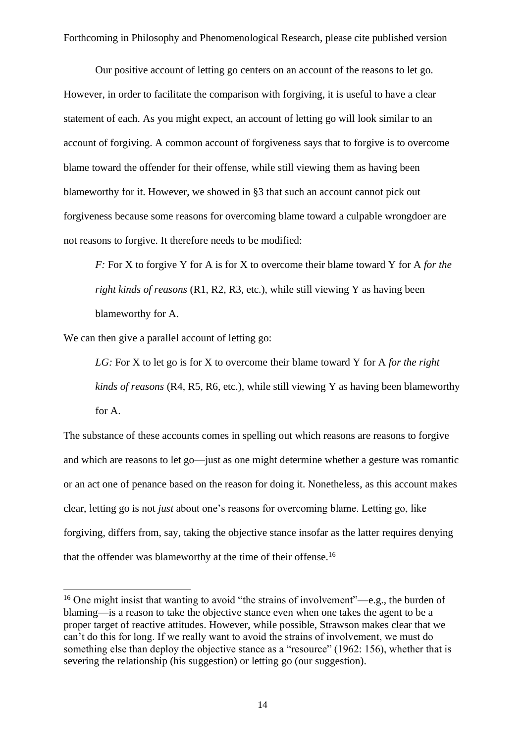Our positive account of letting go centers on an account of the reasons to let go. However, in order to facilitate the comparison with forgiving, it is useful to have a clear statement of each. As you might expect, an account of letting go will look similar to an account of forgiving. A common account of forgiveness says that to forgive is to overcome blame toward the offender for their offense, while still viewing them as having been blameworthy for it. However, we showed in §3 that such an account cannot pick out forgiveness because some reasons for overcoming blame toward a culpable wrongdoer are not reasons to forgive. It therefore needs to be modified:

*F:* For X to forgive Y for A is for X to overcome their blame toward Y for A *for the right kinds of reasons* (R1, R2, R3, etc.), while still viewing Y as having been blameworthy for A.

We can then give a parallel account of letting go:

*LG:* For X to let go is for X to overcome their blame toward Y for A *for the right kinds of reasons* (R4, R5, R6, etc.), while still viewing Y as having been blameworthy for A.

The substance of these accounts comes in spelling out which reasons are reasons to forgive and which are reasons to let go—just as one might determine whether a gesture was romantic or an act one of penance based on the reason for doing it. Nonetheless, as this account makes clear, letting go is not *just* about one's reasons for overcoming blame. Letting go, like forgiving, differs from, say, taking the objective stance insofar as the latter requires denying that the offender was blameworthy at the time of their offense.<sup>16</sup>

<sup>16</sup> One might insist that wanting to avoid "the strains of involvement"—e.g., the burden of blaming—is a reason to take the objective stance even when one takes the agent to be a proper target of reactive attitudes. However, while possible, Strawson makes clear that we can't do this for long. If we really want to avoid the strains of involvement, we must do something else than deploy the objective stance as a "resource" (1962: 156), whether that is severing the relationship (his suggestion) or letting go (our suggestion).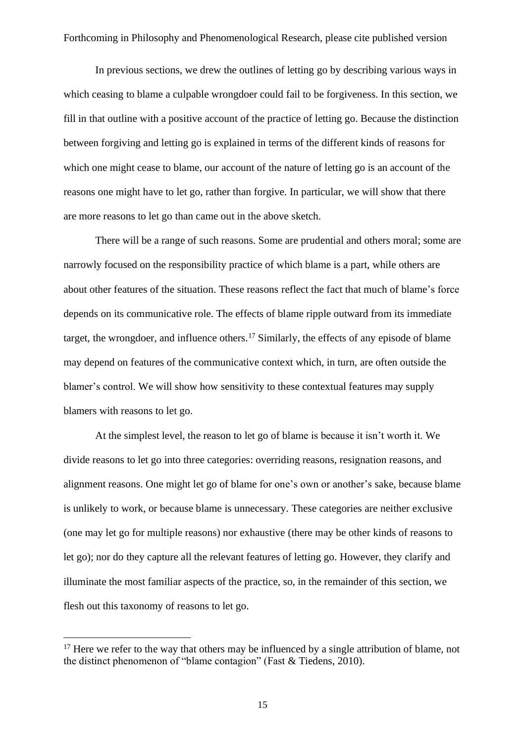In previous sections, we drew the outlines of letting go by describing various ways in which ceasing to blame a culpable wrongdoer could fail to be forgiveness. In this section, we fill in that outline with a positive account of the practice of letting go. Because the distinction between forgiving and letting go is explained in terms of the different kinds of reasons for which one might cease to blame, our account of the nature of letting go is an account of the reasons one might have to let go, rather than forgive. In particular, we will show that there are more reasons to let go than came out in the above sketch.

There will be a range of such reasons. Some are prudential and others moral; some are narrowly focused on the responsibility practice of which blame is a part, while others are about other features of the situation. These reasons reflect the fact that much of blame's force depends on its communicative role. The effects of blame ripple outward from its immediate target, the wrongdoer, and influence others.<sup>17</sup> Similarly, the effects of any episode of blame may depend on features of the communicative context which, in turn, are often outside the blamer's control. We will show how sensitivity to these contextual features may supply blamers with reasons to let go.

At the simplest level, the reason to let go of blame is because it isn't worth it. We divide reasons to let go into three categories: overriding reasons, resignation reasons, and alignment reasons. One might let go of blame for one's own or another's sake, because blame is unlikely to work, or because blame is unnecessary. These categories are neither exclusive (one may let go for multiple reasons) nor exhaustive (there may be other kinds of reasons to let go); nor do they capture all the relevant features of letting go. However, they clarify and illuminate the most familiar aspects of the practice, so, in the remainder of this section, we flesh out this taxonomy of reasons to let go.

 $17$  Here we refer to the way that others may be influenced by a single attribution of blame, not the distinct phenomenon of "blame contagion" (Fast & Tiedens, 2010).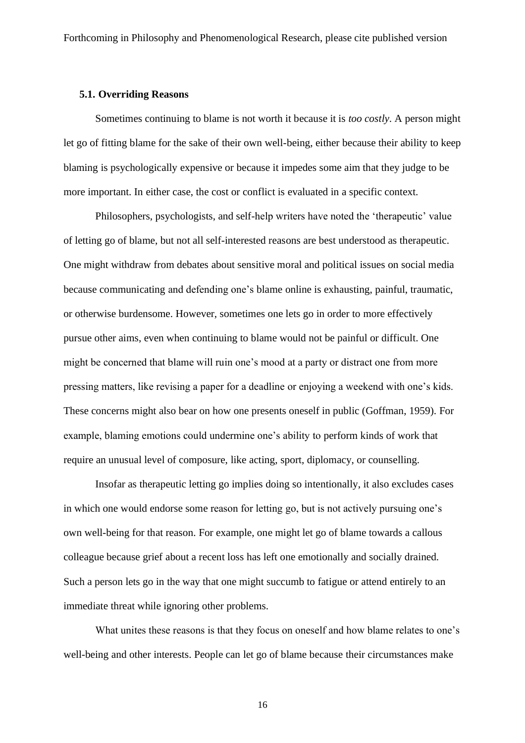#### **5.1. Overriding Reasons**

Sometimes continuing to blame is not worth it because it is *too costly*. A person might let go of fitting blame for the sake of their own well-being, either because their ability to keep blaming is psychologically expensive or because it impedes some aim that they judge to be more important. In either case, the cost or conflict is evaluated in a specific context.

Philosophers, psychologists, and self-help writers have noted the 'therapeutic' value of letting go of blame, but not all self-interested reasons are best understood as therapeutic. One might withdraw from debates about sensitive moral and political issues on social media because communicating and defending one's blame online is exhausting, painful, traumatic, or otherwise burdensome. However, sometimes one lets go in order to more effectively pursue other aims, even when continuing to blame would not be painful or difficult. One might be concerned that blame will ruin one's mood at a party or distract one from more pressing matters, like revising a paper for a deadline or enjoying a weekend with one's kids. These concerns might also bear on how one presents oneself in public (Goffman, 1959). For example, blaming emotions could undermine one's ability to perform kinds of work that require an unusual level of composure, like acting, sport, diplomacy, or counselling.

Insofar as therapeutic letting go implies doing so intentionally, it also excludes cases in which one would endorse some reason for letting go, but is not actively pursuing one's own well-being for that reason. For example, one might let go of blame towards a callous colleague because grief about a recent loss has left one emotionally and socially drained. Such a person lets go in the way that one might succumb to fatigue or attend entirely to an immediate threat while ignoring other problems.

What unites these reasons is that they focus on oneself and how blame relates to one's well-being and other interests. People can let go of blame because their circumstances make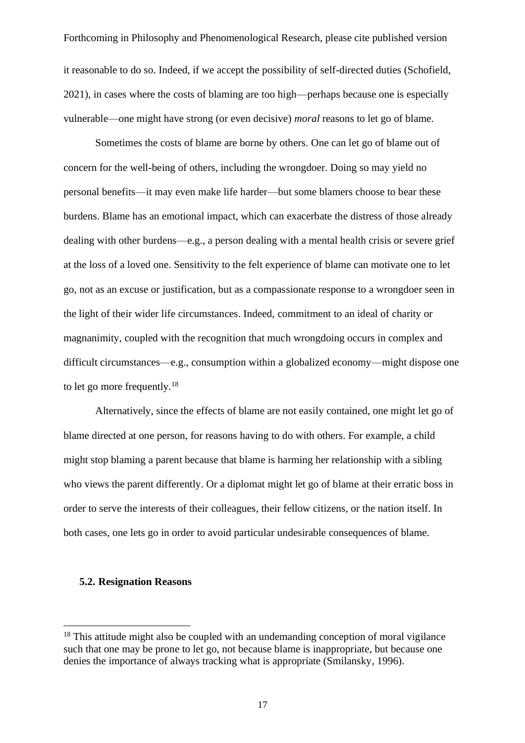Forthcoming in Philosophy and Phenomenological Research, please cite published version it reasonable to do so. Indeed, if we accept the possibility of self-directed duties (Schofield, 2021), in cases where the costs of blaming are too high—perhaps because one is especially vulnerable—one might have strong (or even decisive) *moral* reasons to let go of blame.

Sometimes the costs of blame are borne by others. One can let go of blame out of concern for the well-being of others, including the wrongdoer. Doing so may yield no personal benefits—it may even make life harder—but some blamers choose to bear these burdens. Blame has an emotional impact, which can exacerbate the distress of those already dealing with other burdens—e.g., a person dealing with a mental health crisis or severe grief at the loss of a loved one. Sensitivity to the felt experience of blame can motivate one to let go, not as an excuse or justification, but as a compassionate response to a wrongdoer seen in the light of their wider life circumstances. Indeed, commitment to an ideal of charity or magnanimity, coupled with the recognition that much wrongdoing occurs in complex and difficult circumstances—e.g., consumption within a globalized economy—might dispose one to let go more frequently.<sup>18</sup>

Alternatively, since the effects of blame are not easily contained, one might let go of blame directed at one person, for reasons having to do with others. For example, a child might stop blaming a parent because that blame is harming her relationship with a sibling who views the parent differently. Or a diplomat might let go of blame at their erratic boss in order to serve the interests of their colleagues, their fellow citizens, or the nation itself. In both cases, one lets go in order to avoid particular undesirable consequences of blame.

### **5.2. Resignation Reasons**

<sup>&</sup>lt;sup>18</sup> This attitude might also be coupled with an undemanding conception of moral vigilance such that one may be prone to let go, not because blame is inappropriate, but because one denies the importance of always tracking what is appropriate (Smilansky, 1996).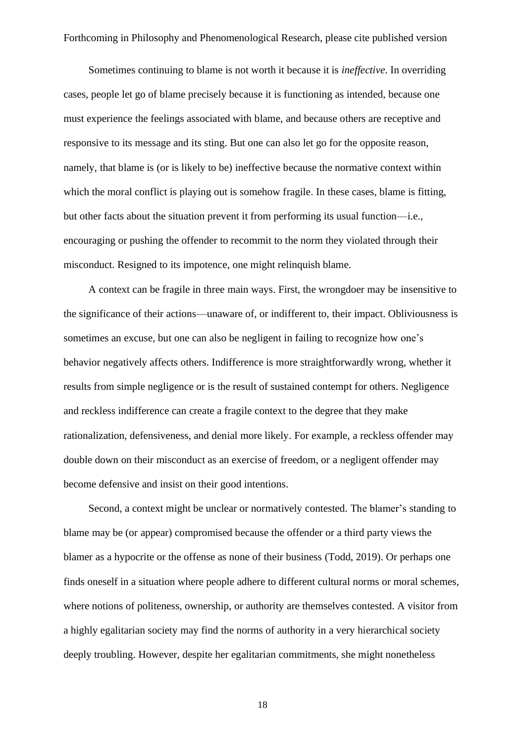Sometimes continuing to blame is not worth it because it is *ineffective*. In overriding cases, people let go of blame precisely because it is functioning as intended, because one must experience the feelings associated with blame, and because others are receptive and responsive to its message and its sting. But one can also let go for the opposite reason, namely, that blame is (or is likely to be) ineffective because the normative context within which the moral conflict is playing out is somehow fragile. In these cases, blame is fitting, but other facts about the situation prevent it from performing its usual function—i.e., encouraging or pushing the offender to recommit to the norm they violated through their misconduct. Resigned to its impotence, one might relinquish blame.

A context can be fragile in three main ways. First, the wrongdoer may be insensitive to the significance of their actions—unaware of, or indifferent to, their impact. Obliviousness is sometimes an excuse, but one can also be negligent in failing to recognize how one's behavior negatively affects others. Indifference is more straightforwardly wrong, whether it results from simple negligence or is the result of sustained contempt for others. Negligence and reckless indifference can create a fragile context to the degree that they make rationalization, defensiveness, and denial more likely. For example, a reckless offender may double down on their misconduct as an exercise of freedom, or a negligent offender may become defensive and insist on their good intentions.

Second, a context might be unclear or normatively contested. The blamer's standing to blame may be (or appear) compromised because the offender or a third party views the blamer as a hypocrite or the offense as none of their business (Todd, 2019). Or perhaps one finds oneself in a situation where people adhere to different cultural norms or moral schemes, where notions of politeness, ownership, or authority are themselves contested. A visitor from a highly egalitarian society may find the norms of authority in a very hierarchical society deeply troubling. However, despite her egalitarian commitments, she might nonetheless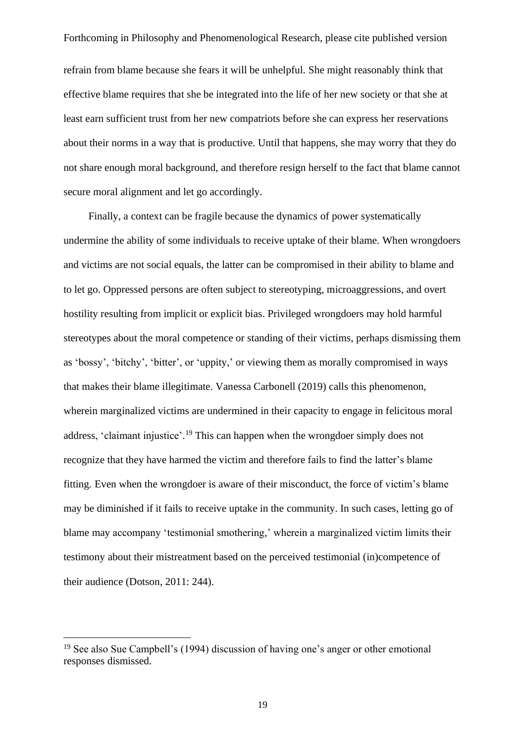refrain from blame because she fears it will be unhelpful. She might reasonably think that effective blame requires that she be integrated into the life of her new society or that she at least earn sufficient trust from her new compatriots before she can express her reservations about their norms in a way that is productive. Until that happens, she may worry that they do not share enough moral background, and therefore resign herself to the fact that blame cannot secure moral alignment and let go accordingly.

Finally, a context can be fragile because the dynamics of power systematically undermine the ability of some individuals to receive uptake of their blame. When wrongdoers and victims are not social equals, the latter can be compromised in their ability to blame and to let go. Oppressed persons are often subject to stereotyping, microaggressions, and overt hostility resulting from implicit or explicit bias. Privileged wrongdoers may hold harmful stereotypes about the moral competence or standing of their victims, perhaps dismissing them as 'bossy', 'bitchy', 'bitter', or 'uppity,' or viewing them as morally compromised in ways that makes their blame illegitimate. Vanessa Carbonell (2019) calls this phenomenon, wherein marginalized victims are undermined in their capacity to engage in felicitous moral address, 'claimant injustice'.<sup>19</sup> This can happen when the wrongdoer simply does not recognize that they have harmed the victim and therefore fails to find the latter's blame fitting. Even when the wrongdoer is aware of their misconduct, the force of victim's blame may be diminished if it fails to receive uptake in the community. In such cases, letting go of blame may accompany 'testimonial smothering,' wherein a marginalized victim limits their testimony about their mistreatment based on the perceived testimonial (in)competence of their audience (Dotson, 2011: 244).

<sup>19</sup> See also Sue Campbell's (1994) discussion of having one's anger or other emotional responses dismissed.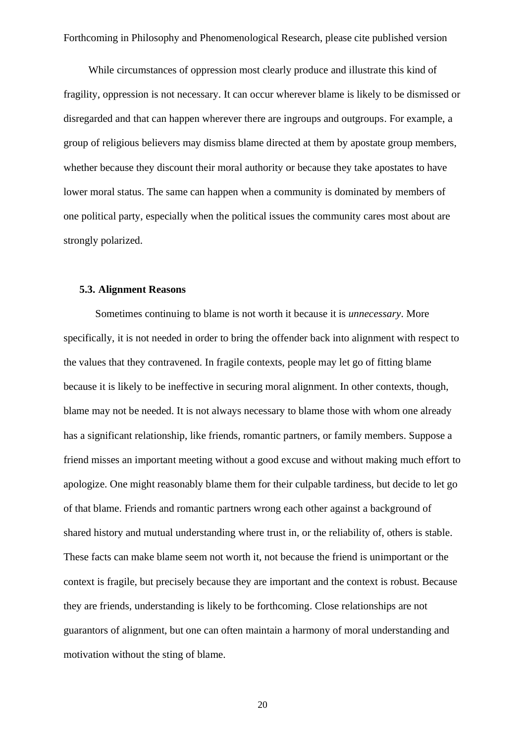While circumstances of oppression most clearly produce and illustrate this kind of fragility, oppression is not necessary. It can occur wherever blame is likely to be dismissed or disregarded and that can happen wherever there are ingroups and outgroups. For example, a group of religious believers may dismiss blame directed at them by apostate group members, whether because they discount their moral authority or because they take apostates to have lower moral status. The same can happen when a community is dominated by members of one political party, especially when the political issues the community cares most about are strongly polarized.

### **5.3. Alignment Reasons**

Sometimes continuing to blame is not worth it because it is *unnecessary*. More specifically, it is not needed in order to bring the offender back into alignment with respect to the values that they contravened. In fragile contexts, people may let go of fitting blame because it is likely to be ineffective in securing moral alignment. In other contexts, though, blame may not be needed. It is not always necessary to blame those with whom one already has a significant relationship, like friends, romantic partners, or family members. Suppose a friend misses an important meeting without a good excuse and without making much effort to apologize. One might reasonably blame them for their culpable tardiness, but decide to let go of that blame. Friends and romantic partners wrong each other against a background of shared history and mutual understanding where trust in, or the reliability of, others is stable. These facts can make blame seem not worth it, not because the friend is unimportant or the context is fragile, but precisely because they are important and the context is robust. Because they are friends, understanding is likely to be forthcoming. Close relationships are not guarantors of alignment, but one can often maintain a harmony of moral understanding and motivation without the sting of blame.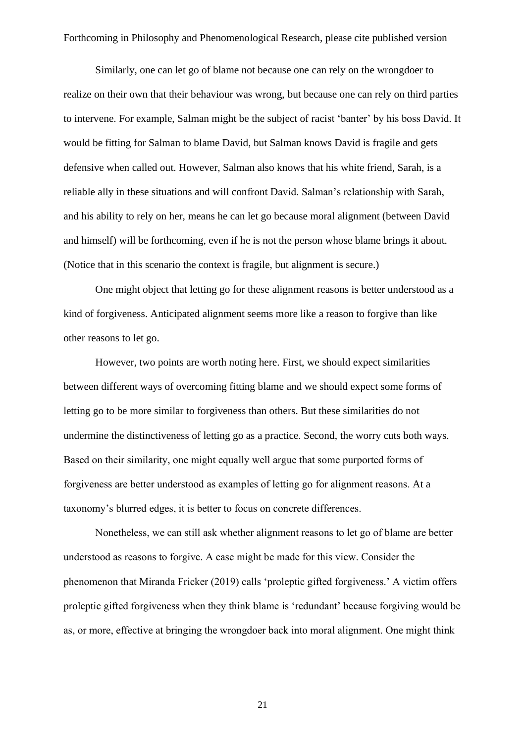Similarly, one can let go of blame not because one can rely on the wrongdoer to realize on their own that their behaviour was wrong, but because one can rely on third parties to intervene. For example, Salman might be the subject of racist 'banter' by his boss David. It would be fitting for Salman to blame David, but Salman knows David is fragile and gets defensive when called out. However, Salman also knows that his white friend, Sarah, is a reliable ally in these situations and will confront David. Salman's relationship with Sarah, and his ability to rely on her, means he can let go because moral alignment (between David and himself) will be forthcoming, even if he is not the person whose blame brings it about. (Notice that in this scenario the context is fragile, but alignment is secure.)

One might object that letting go for these alignment reasons is better understood as a kind of forgiveness. Anticipated alignment seems more like a reason to forgive than like other reasons to let go.

However, two points are worth noting here. First, we should expect similarities between different ways of overcoming fitting blame and we should expect some forms of letting go to be more similar to forgiveness than others. But these similarities do not undermine the distinctiveness of letting go as a practice. Second, the worry cuts both ways. Based on their similarity, one might equally well argue that some purported forms of forgiveness are better understood as examples of letting go for alignment reasons. At a taxonomy's blurred edges, it is better to focus on concrete differences.

Nonetheless, we can still ask whether alignment reasons to let go of blame are better understood as reasons to forgive. A case might be made for this view. Consider the phenomenon that Miranda Fricker (2019) calls 'proleptic gifted forgiveness.' A victim offers proleptic gifted forgiveness when they think blame is 'redundant' because forgiving would be as, or more, effective at bringing the wrongdoer back into moral alignment. One might think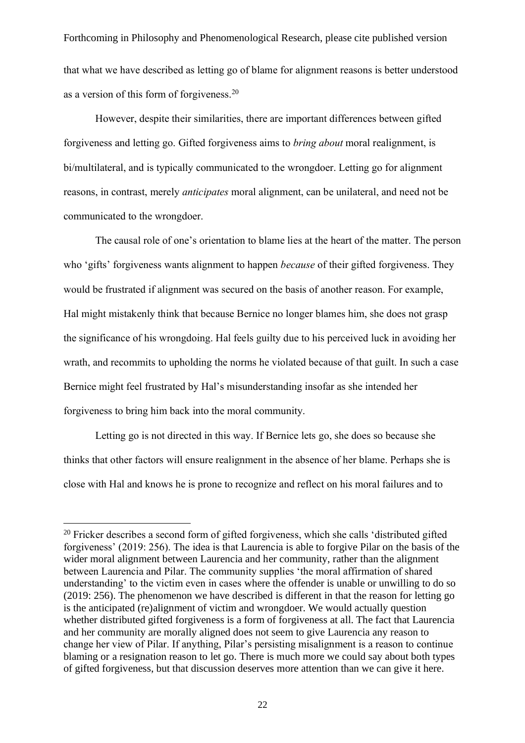Forthcoming in Philosophy and Phenomenological Research, please cite published version that what we have described as letting go of blame for alignment reasons is better understood as a version of this form of forgiveness.<sup>20</sup>

However, despite their similarities, there are important differences between gifted forgiveness and letting go. Gifted forgiveness aims to *bring about* moral realignment, is bi/multilateral, and is typically communicated to the wrongdoer. Letting go for alignment reasons, in contrast, merely *anticipates* moral alignment, can be unilateral, and need not be communicated to the wrongdoer.

The causal role of one's orientation to blame lies at the heart of the matter. The person who 'gifts' forgiveness wants alignment to happen *because* of their gifted forgiveness. They would be frustrated if alignment was secured on the basis of another reason. For example, Hal might mistakenly think that because Bernice no longer blames him, she does not grasp the significance of his wrongdoing. Hal feels guilty due to his perceived luck in avoiding her wrath, and recommits to upholding the norms he violated because of that guilt. In such a case Bernice might feel frustrated by Hal's misunderstanding insofar as she intended her forgiveness to bring him back into the moral community.

Letting go is not directed in this way. If Bernice lets go, she does so because she thinks that other factors will ensure realignment in the absence of her blame. Perhaps she is close with Hal and knows he is prone to recognize and reflect on his moral failures and to

 $20$  Fricker describes a second form of gifted forgiveness, which she calls 'distributed gifted forgiveness' (2019: 256). The idea is that Laurencia is able to forgive Pilar on the basis of the wider moral alignment between Laurencia and her community, rather than the alignment between Laurencia and Pilar. The community supplies 'the moral affirmation of shared understanding' to the victim even in cases where the offender is unable or unwilling to do so (2019: 256). The phenomenon we have described is different in that the reason for letting go is the anticipated (re)alignment of victim and wrongdoer. We would actually question whether distributed gifted forgiveness is a form of forgiveness at all. The fact that Laurencia and her community are morally aligned does not seem to give Laurencia any reason to change her view of Pilar. If anything, Pilar's persisting misalignment is a reason to continue blaming or a resignation reason to let go. There is much more we could say about both types of gifted forgiveness, but that discussion deserves more attention than we can give it here.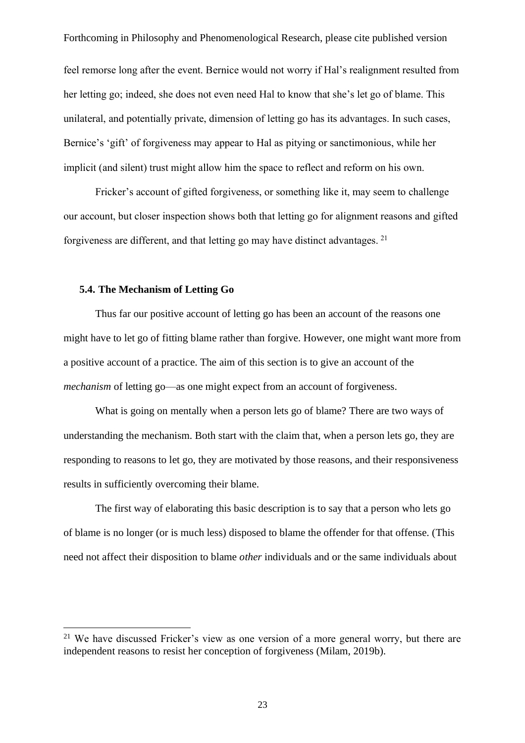feel remorse long after the event. Bernice would not worry if Hal's realignment resulted from her letting go; indeed, she does not even need Hal to know that she's let go of blame. This unilateral, and potentially private, dimension of letting go has its advantages. In such cases, Bernice's 'gift' of forgiveness may appear to Hal as pitying or sanctimonious, while her implicit (and silent) trust might allow him the space to reflect and reform on his own.

Fricker's account of gifted forgiveness, or something like it, may seem to challenge our account, but closer inspection shows both that letting go for alignment reasons and gifted forgiveness are different, and that letting go may have distinct advantages. <sup>21</sup>

### **5.4. The Mechanism of Letting Go**

Thus far our positive account of letting go has been an account of the reasons one might have to let go of fitting blame rather than forgive. However, one might want more from a positive account of a practice. The aim of this section is to give an account of the *mechanism* of letting go—as one might expect from an account of forgiveness.

What is going on mentally when a person lets go of blame? There are two ways of understanding the mechanism. Both start with the claim that, when a person lets go, they are responding to reasons to let go, they are motivated by those reasons, and their responsiveness results in sufficiently overcoming their blame.

The first way of elaborating this basic description is to say that a person who lets go of blame is no longer (or is much less) disposed to blame the offender for that offense. (This need not affect their disposition to blame *other* individuals and or the same individuals about

 $21$  We have discussed Fricker's view as one version of a more general worry, but there are independent reasons to resist her conception of forgiveness (Milam, 2019b).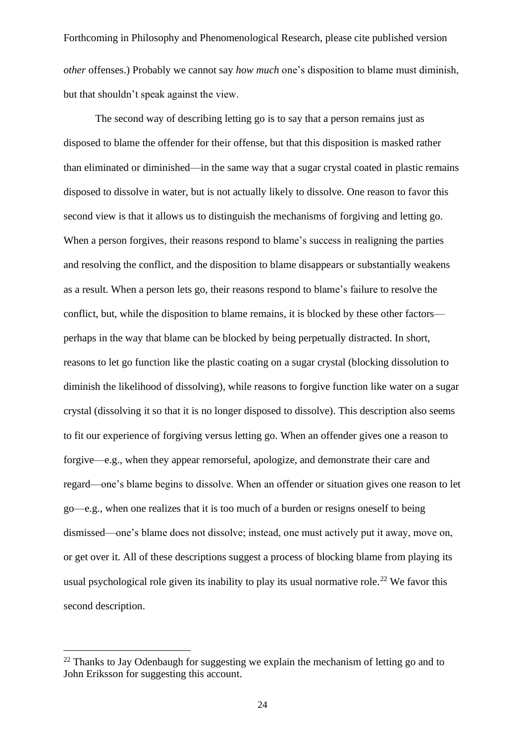Forthcoming in Philosophy and Phenomenological Research, please cite published version *other* offenses.) Probably we cannot say *how much* one's disposition to blame must diminish, but that shouldn't speak against the view.

The second way of describing letting go is to say that a person remains just as disposed to blame the offender for their offense, but that this disposition is masked rather than eliminated or diminished—in the same way that a sugar crystal coated in plastic remains disposed to dissolve in water, but is not actually likely to dissolve. One reason to favor this second view is that it allows us to distinguish the mechanisms of forgiving and letting go. When a person forgives, their reasons respond to blame's success in realigning the parties and resolving the conflict, and the disposition to blame disappears or substantially weakens as a result. When a person lets go, their reasons respond to blame's failure to resolve the conflict, but, while the disposition to blame remains, it is blocked by these other factors perhaps in the way that blame can be blocked by being perpetually distracted. In short, reasons to let go function like the plastic coating on a sugar crystal (blocking dissolution to diminish the likelihood of dissolving), while reasons to forgive function like water on a sugar crystal (dissolving it so that it is no longer disposed to dissolve). This description also seems to fit our experience of forgiving versus letting go. When an offender gives one a reason to forgive—e.g., when they appear remorseful, apologize, and demonstrate their care and regard—one's blame begins to dissolve. When an offender or situation gives one reason to let go—e.g., when one realizes that it is too much of a burden or resigns oneself to being dismissed—one's blame does not dissolve; instead, one must actively put it away, move on, or get over it. All of these descriptions suggest a process of blocking blame from playing its usual psychological role given its inability to play its usual normative role.<sup>22</sup> We favor this second description.

 $22$  Thanks to Jay Odenbaugh for suggesting we explain the mechanism of letting go and to John Eriksson for suggesting this account.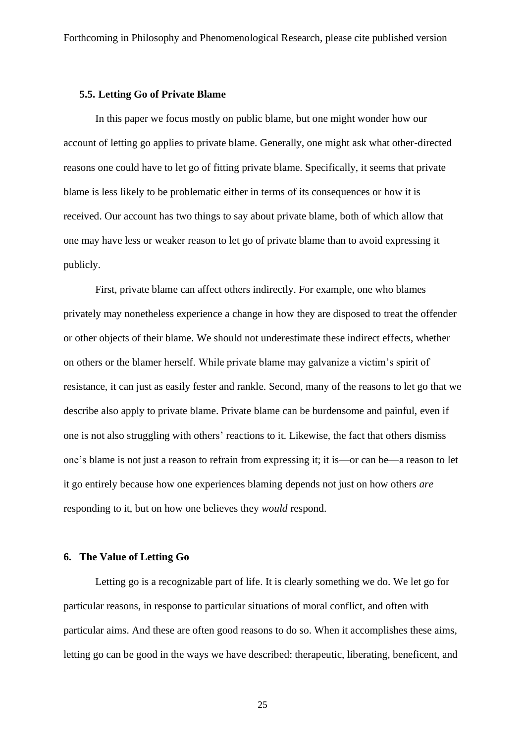#### **5.5. Letting Go of Private Blame**

In this paper we focus mostly on public blame, but one might wonder how our account of letting go applies to private blame. Generally, one might ask what other-directed reasons one could have to let go of fitting private blame. Specifically, it seems that private blame is less likely to be problematic either in terms of its consequences or how it is received. Our account has two things to say about private blame, both of which allow that one may have less or weaker reason to let go of private blame than to avoid expressing it publicly.

First, private blame can affect others indirectly. For example, one who blames privately may nonetheless experience a change in how they are disposed to treat the offender or other objects of their blame. We should not underestimate these indirect effects, whether on others or the blamer herself. While private blame may galvanize a victim's spirit of resistance, it can just as easily fester and rankle. Second, many of the reasons to let go that we describe also apply to private blame. Private blame can be burdensome and painful, even if one is not also struggling with others' reactions to it. Likewise, the fact that others dismiss one's blame is not just a reason to refrain from expressing it; it is—or can be—a reason to let it go entirely because how one experiences blaming depends not just on how others *are* responding to it, but on how one believes they *would* respond.

### **6. The Value of Letting Go**

Letting go is a recognizable part of life. It is clearly something we do. We let go for particular reasons, in response to particular situations of moral conflict, and often with particular aims. And these are often good reasons to do so. When it accomplishes these aims, letting go can be good in the ways we have described: therapeutic, liberating, beneficent, and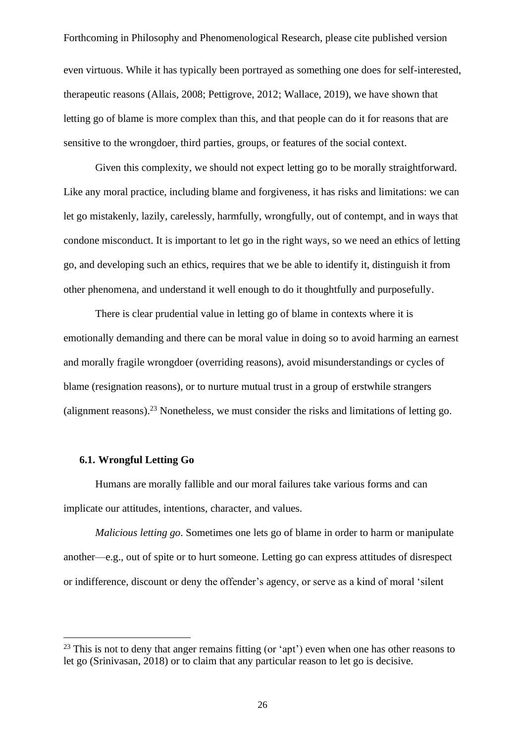even virtuous. While it has typically been portrayed as something one does for self-interested, therapeutic reasons (Allais, 2008; Pettigrove, 2012; Wallace, 2019), we have shown that letting go of blame is more complex than this, and that people can do it for reasons that are sensitive to the wrongdoer, third parties, groups, or features of the social context.

Given this complexity, we should not expect letting go to be morally straightforward. Like any moral practice, including blame and forgiveness, it has risks and limitations: we can let go mistakenly, lazily, carelessly, harmfully, wrongfully, out of contempt, and in ways that condone misconduct. It is important to let go in the right ways, so we need an ethics of letting go, and developing such an ethics, requires that we be able to identify it, distinguish it from other phenomena, and understand it well enough to do it thoughtfully and purposefully.

There is clear prudential value in letting go of blame in contexts where it is emotionally demanding and there can be moral value in doing so to avoid harming an earnest and morally fragile wrongdoer (overriding reasons), avoid misunderstandings or cycles of blame (resignation reasons), or to nurture mutual trust in a group of erstwhile strangers (alignment reasons).<sup>23</sup> Nonetheless, we must consider the risks and limitations of letting go.

## **6.1. Wrongful Letting Go**

Humans are morally fallible and our moral failures take various forms and can implicate our attitudes, intentions, character, and values.

*Malicious letting go*. Sometimes one lets go of blame in order to harm or manipulate another—e.g., out of spite or to hurt someone. Letting go can express attitudes of disrespect or indifference, discount or deny the offender's agency, or serve as a kind of moral 'silent

 $23$  This is not to deny that anger remains fitting (or 'apt') even when one has other reasons to let go (Srinivasan, 2018) or to claim that any particular reason to let go is decisive.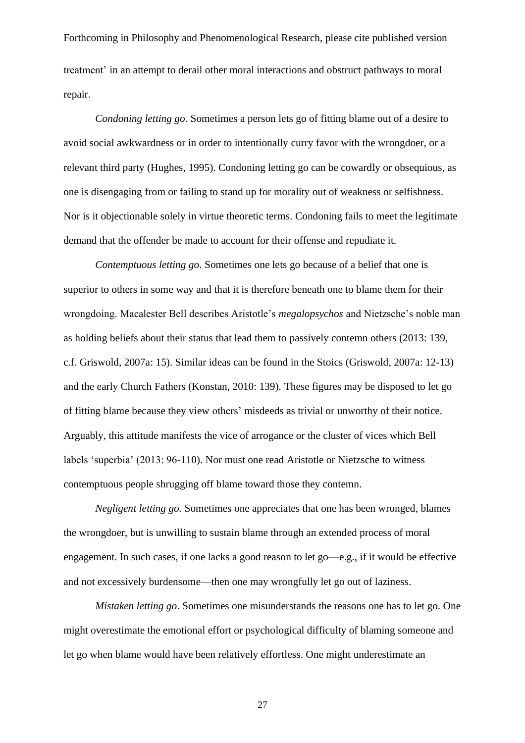Forthcoming in Philosophy and Phenomenological Research, please cite published version treatment' in an attempt to derail other moral interactions and obstruct pathways to moral repair.

*Condoning letting go*. Sometimes a person lets go of fitting blame out of a desire to avoid social awkwardness or in order to intentionally curry favor with the wrongdoer, or a relevant third party (Hughes, 1995). Condoning letting go can be cowardly or obsequious, as one is disengaging from or failing to stand up for morality out of weakness or selfishness. Nor is it objectionable solely in virtue theoretic terms. Condoning fails to meet the legitimate demand that the offender be made to account for their offense and repudiate it.

*Contemptuous letting go*. Sometimes one lets go because of a belief that one is superior to others in some way and that it is therefore beneath one to blame them for their wrongdoing. Macalester Bell describes Aristotle's *megalopsychos* and Nietzsche's noble man as holding beliefs about their status that lead them to passively contemn others (2013: 139, c.f. Griswold, 2007a: 15). Similar ideas can be found in the Stoics (Griswold, 2007a: 12-13) and the early Church Fathers (Konstan, 2010: 139). These figures may be disposed to let go of fitting blame because they view others' misdeeds as trivial or unworthy of their notice. Arguably, this attitude manifests the vice of arrogance or the cluster of vices which Bell labels 'superbia' (2013: 96-110). Nor must one read Aristotle or Nietzsche to witness contemptuous people shrugging off blame toward those they contemn.

*Negligent letting go.* Sometimes one appreciates that one has been wronged, blames the wrongdoer, but is unwilling to sustain blame through an extended process of moral engagement. In such cases, if one lacks a good reason to let go—e.g., if it would be effective and not excessively burdensome—then one may wrongfully let go out of laziness.

*Mistaken letting go*. Sometimes one misunderstands the reasons one has to let go. One might overestimate the emotional effort or psychological difficulty of blaming someone and let go when blame would have been relatively effortless. One might underestimate an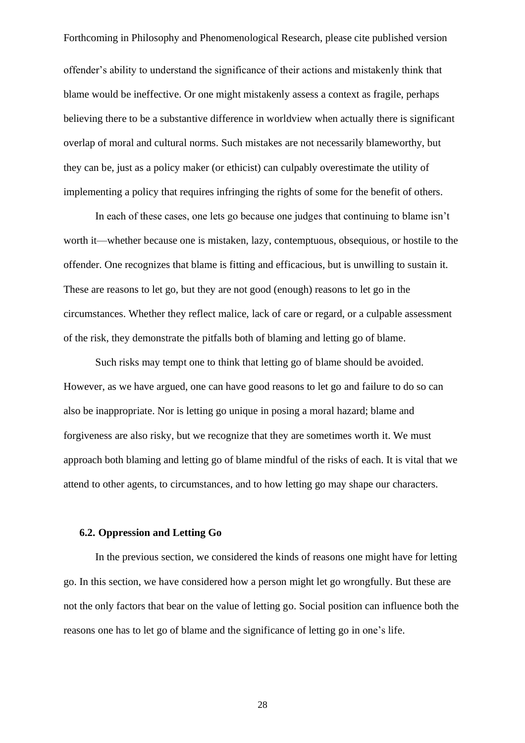offender's ability to understand the significance of their actions and mistakenly think that blame would be ineffective. Or one might mistakenly assess a context as fragile, perhaps believing there to be a substantive difference in worldview when actually there is significant overlap of moral and cultural norms. Such mistakes are not necessarily blameworthy, but they can be, just as a policy maker (or ethicist) can culpably overestimate the utility of implementing a policy that requires infringing the rights of some for the benefit of others.

In each of these cases, one lets go because one judges that continuing to blame isn't worth it—whether because one is mistaken, lazy, contemptuous, obsequious, or hostile to the offender. One recognizes that blame is fitting and efficacious, but is unwilling to sustain it. These are reasons to let go, but they are not good (enough) reasons to let go in the circumstances. Whether they reflect malice, lack of care or regard, or a culpable assessment of the risk, they demonstrate the pitfalls both of blaming and letting go of blame.

Such risks may tempt one to think that letting go of blame should be avoided. However, as we have argued, one can have good reasons to let go and failure to do so can also be inappropriate. Nor is letting go unique in posing a moral hazard; blame and forgiveness are also risky, but we recognize that they are sometimes worth it. We must approach both blaming and letting go of blame mindful of the risks of each. It is vital that we attend to other agents, to circumstances, and to how letting go may shape our characters.

#### **6.2. Oppression and Letting Go**

In the previous section, we considered the kinds of reasons one might have for letting go. In this section, we have considered how a person might let go wrongfully. But these are not the only factors that bear on the value of letting go. Social position can influence both the reasons one has to let go of blame and the significance of letting go in one's life.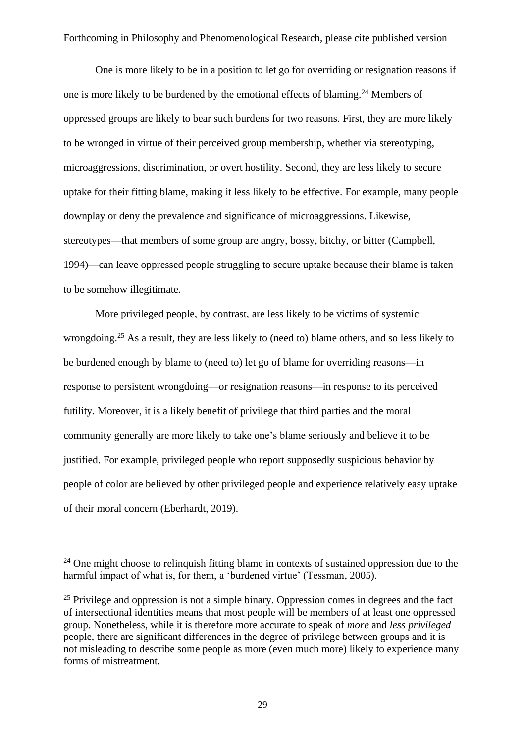One is more likely to be in a position to let go for overriding or resignation reasons if one is more likely to be burdened by the emotional effects of blaming.<sup>24</sup> Members of oppressed groups are likely to bear such burdens for two reasons. First, they are more likely to be wronged in virtue of their perceived group membership, whether via stereotyping, microaggressions, discrimination, or overt hostility. Second, they are less likely to secure uptake for their fitting blame, making it less likely to be effective. For example, many people downplay or deny the prevalence and significance of microaggressions. Likewise, stereotypes—that members of some group are angry, bossy, bitchy, or bitter (Campbell, 1994)—can leave oppressed people struggling to secure uptake because their blame is taken to be somehow illegitimate.

More privileged people, by contrast, are less likely to be victims of systemic wrongdoing.<sup>25</sup> As a result, they are less likely to (need to) blame others, and so less likely to be burdened enough by blame to (need to) let go of blame for overriding reasons—in response to persistent wrongdoing—or resignation reasons—in response to its perceived futility. Moreover, it is a likely benefit of privilege that third parties and the moral community generally are more likely to take one's blame seriously and believe it to be justified. For example, privileged people who report supposedly suspicious behavior by people of color are believed by other privileged people and experience relatively easy uptake of their moral concern (Eberhardt, 2019).

<sup>&</sup>lt;sup>24</sup> One might choose to relinquish fitting blame in contexts of sustained oppression due to the harmful impact of what is, for them, a 'burdened virtue' (Tessman, 2005).

 $25$  Privilege and oppression is not a simple binary. Oppression comes in degrees and the fact of intersectional identities means that most people will be members of at least one oppressed group. Nonetheless, while it is therefore more accurate to speak of *more* and *less privileged* people, there are significant differences in the degree of privilege between groups and it is not misleading to describe some people as more (even much more) likely to experience many forms of mistreatment.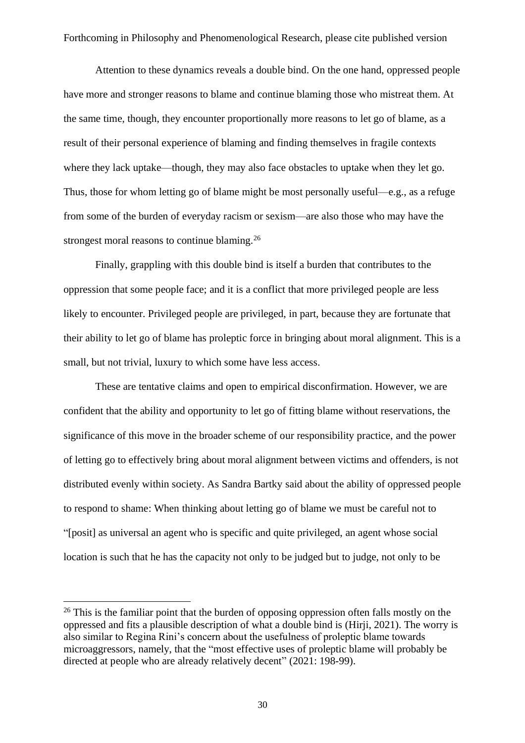Attention to these dynamics reveals a double bind. On the one hand, oppressed people have more and stronger reasons to blame and continue blaming those who mistreat them. At the same time, though, they encounter proportionally more reasons to let go of blame, as a result of their personal experience of blaming and finding themselves in fragile contexts where they lack uptake—though, they may also face obstacles to uptake when they let go. Thus, those for whom letting go of blame might be most personally useful—e.g., as a refuge from some of the burden of everyday racism or sexism—are also those who may have the strongest moral reasons to continue blaming.<sup>26</sup>

Finally, grappling with this double bind is itself a burden that contributes to the oppression that some people face; and it is a conflict that more privileged people are less likely to encounter. Privileged people are privileged, in part, because they are fortunate that their ability to let go of blame has proleptic force in bringing about moral alignment. This is a small, but not trivial, luxury to which some have less access.

These are tentative claims and open to empirical disconfirmation. However, we are confident that the ability and opportunity to let go of fitting blame without reservations, the significance of this move in the broader scheme of our responsibility practice, and the power of letting go to effectively bring about moral alignment between victims and offenders, is not distributed evenly within society. As Sandra Bartky said about the ability of oppressed people to respond to shame: When thinking about letting go of blame we must be careful not to "[posit] as universal an agent who is specific and quite privileged, an agent whose social location is such that he has the capacity not only to be judged but to judge, not only to be

 $26$  This is the familiar point that the burden of opposing oppression often falls mostly on the oppressed and fits a plausible description of what a double bind is (Hirji, 2021). The worry is also similar to Regina Rini's concern about the usefulness of proleptic blame towards microaggressors, namely, that the "most effective uses of proleptic blame will probably be directed at people who are already relatively decent" (2021: 198-99).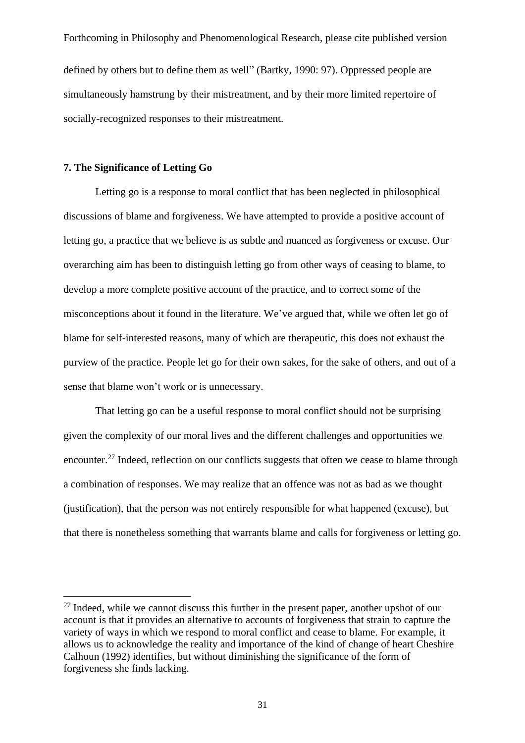Forthcoming in Philosophy and Phenomenological Research, please cite published version defined by others but to define them as well" (Bartky, 1990: 97). Oppressed people are simultaneously hamstrung by their mistreatment, and by their more limited repertoire of socially-recognized responses to their mistreatment.

#### **7. The Significance of Letting Go**

Letting go is a response to moral conflict that has been neglected in philosophical discussions of blame and forgiveness. We have attempted to provide a positive account of letting go, a practice that we believe is as subtle and nuanced as forgiveness or excuse. Our overarching aim has been to distinguish letting go from other ways of ceasing to blame, to develop a more complete positive account of the practice, and to correct some of the misconceptions about it found in the literature. We've argued that, while we often let go of blame for self-interested reasons, many of which are therapeutic, this does not exhaust the purview of the practice. People let go for their own sakes, for the sake of others, and out of a sense that blame won't work or is unnecessary.

That letting go can be a useful response to moral conflict should not be surprising given the complexity of our moral lives and the different challenges and opportunities we encounter.<sup>27</sup> Indeed, reflection on our conflicts suggests that often we cease to blame through a combination of responses. We may realize that an offence was not as bad as we thought (justification), that the person was not entirely responsible for what happened (excuse), but that there is nonetheless something that warrants blame and calls for forgiveness or letting go.

 $27$  Indeed, while we cannot discuss this further in the present paper, another upshot of our account is that it provides an alternative to accounts of forgiveness that strain to capture the variety of ways in which we respond to moral conflict and cease to blame. For example, it allows us to acknowledge the reality and importance of the kind of change of heart Cheshire Calhoun (1992) identifies, but without diminishing the significance of the form of forgiveness she finds lacking.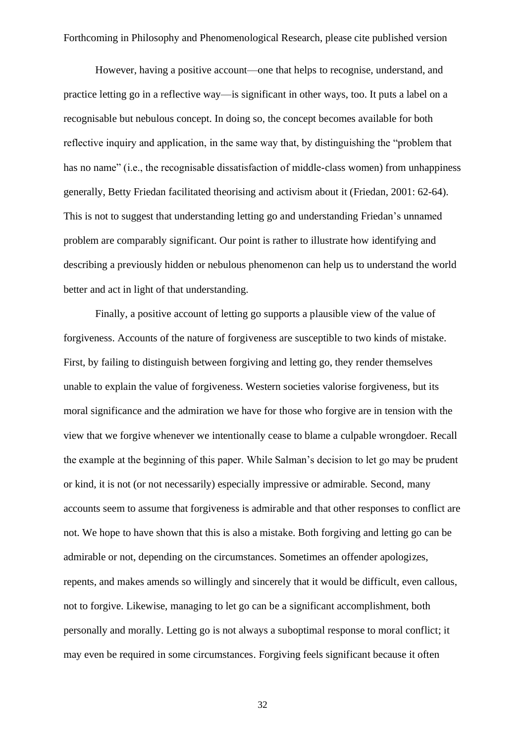However, having a positive account—one that helps to recognise, understand, and practice letting go in a reflective way—is significant in other ways, too. It puts a label on a recognisable but nebulous concept. In doing so, the concept becomes available for both reflective inquiry and application, in the same way that, by distinguishing the "problem that has no name" (i.e., the recognisable dissatisfaction of middle-class women) from unhappiness generally, Betty Friedan facilitated theorising and activism about it (Friedan, 2001: 62-64). This is not to suggest that understanding letting go and understanding Friedan's unnamed problem are comparably significant. Our point is rather to illustrate how identifying and describing a previously hidden or nebulous phenomenon can help us to understand the world better and act in light of that understanding.

Finally, a positive account of letting go supports a plausible view of the value of forgiveness. Accounts of the nature of forgiveness are susceptible to two kinds of mistake. First, by failing to distinguish between forgiving and letting go, they render themselves unable to explain the value of forgiveness. Western societies valorise forgiveness, but its moral significance and the admiration we have for those who forgive are in tension with the view that we forgive whenever we intentionally cease to blame a culpable wrongdoer. Recall the example at the beginning of this paper. While Salman's decision to let go may be prudent or kind, it is not (or not necessarily) especially impressive or admirable. Second, many accounts seem to assume that forgiveness is admirable and that other responses to conflict are not. We hope to have shown that this is also a mistake. Both forgiving and letting go can be admirable or not, depending on the circumstances. Sometimes an offender apologizes, repents, and makes amends so willingly and sincerely that it would be difficult, even callous, not to forgive. Likewise, managing to let go can be a significant accomplishment, both personally and morally. Letting go is not always a suboptimal response to moral conflict; it may even be required in some circumstances. Forgiving feels significant because it often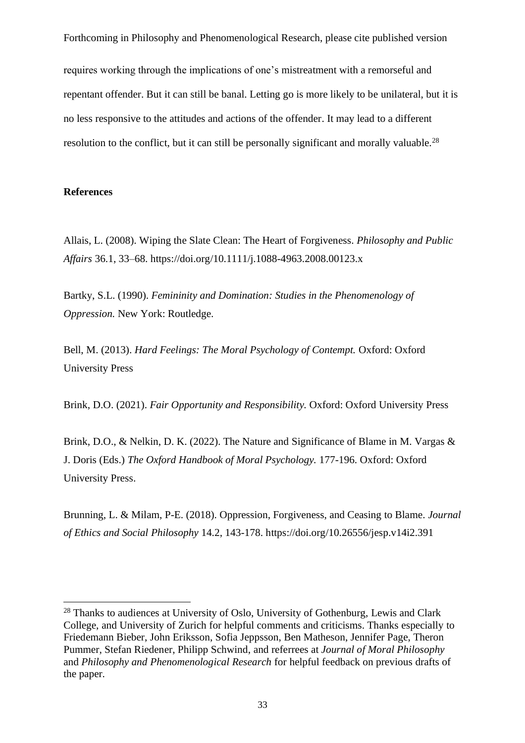requires working through the implications of one's mistreatment with a remorseful and repentant offender. But it can still be banal. Letting go is more likely to be unilateral, but it is no less responsive to the attitudes and actions of the offender. It may lead to a different resolution to the conflict, but it can still be personally significant and morally valuable.<sup>28</sup>

# **References**

Allais, L. (2008). Wiping the Slate Clean: The Heart of Forgiveness. *Philosophy and Public Affairs* 36.1, 33–68. https://doi.org/10.1111/j.1088-4963.2008.00123.x

Bartky, S.L. (1990). *Femininity and Domination: Studies in the Phenomenology of Oppression.* New York: Routledge.

Bell, M. (2013). *Hard Feelings: The Moral Psychology of Contempt.* Oxford: Oxford University Press

Brink, D.O. (2021). *Fair Opportunity and Responsibility.* Oxford: Oxford University Press

Brink, D.O., & Nelkin, D. K. (2022). The Nature and Significance of Blame in M. Vargas & J. Doris (Eds.) *The Oxford Handbook of Moral Psychology.* 177-196. Oxford: Oxford University Press.

Brunning, L. & Milam, P-E. (2018). Oppression, Forgiveness, and Ceasing to Blame. *Journal of Ethics and Social Philosophy* 14.2, 143-178. https://doi.org/10.26556/jesp.v14i2.391

<sup>&</sup>lt;sup>28</sup> Thanks to audiences at University of Oslo, University of Gothenburg, Lewis and Clark College, and University of Zurich for helpful comments and criticisms. Thanks especially to Friedemann Bieber, John Eriksson, Sofia Jeppsson, Ben Matheson, Jennifer Page, Theron Pummer, Stefan Riedener, Philipp Schwind, and referrees at *Journal of Moral Philosophy* and *Philosophy and Phenomenological Research* for helpful feedback on previous drafts of the paper.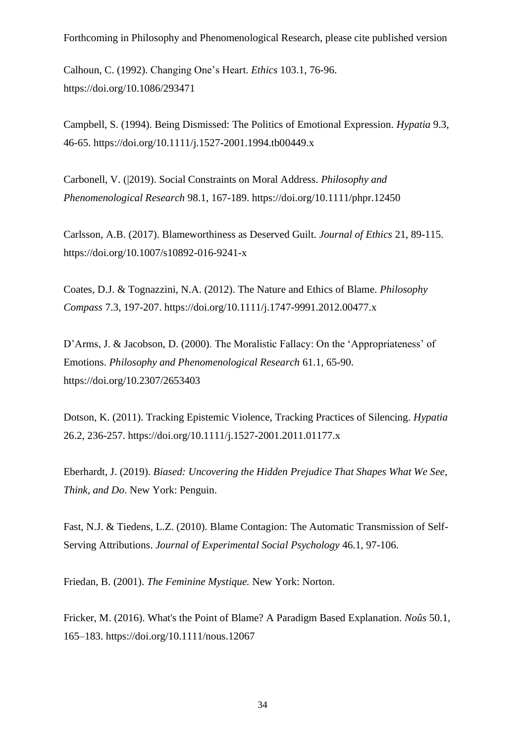Calhoun, C. (1992). Changing One's Heart. *Ethics* 103.1, 76-96. https://doi.org/10.1086/293471

Campbell, S. (1994). Being Dismissed: The Politics of Emotional Expression. *Hypatia* 9.3, 46-65. https://doi.org/10.1111/j.1527-2001.1994.tb00449.x

Carbonell, V. (|2019). Social Constraints on Moral Address. *Philosophy and Phenomenological Research* 98.1, 167-189. https://doi.org/10.1111/phpr.12450

Carlsson, A.B. (2017). Blameworthiness as Deserved Guilt. *Journal of Ethics* 21, 89-115. https://doi.org/10.1007/s10892-016-9241-x

Coates, D.J. & Tognazzini, N.A. (2012). The Nature and Ethics of Blame. *Philosophy Compass* 7.3, 197-207. https://doi.org/10.1111/j.1747-9991.2012.00477.x

D'Arms, J. & Jacobson, D. (2000). The Moralistic Fallacy: On the 'Appropriateness' of Emotions. *Philosophy and Phenomenological Research* 61.1, 65-90. https://doi.org/10.2307/2653403

Dotson, K. (2011). Tracking Epistemic Violence, Tracking Practices of Silencing. *Hypatia* 26.2, 236-257. https://doi.org/10.1111/j.1527-2001.2011.01177.x

Eberhardt, J. (2019). *Biased: Uncovering the Hidden Prejudice That Shapes What We See, Think, and Do*. New York: Penguin.

Fast, N.J. & Tiedens, L.Z. (2010). Blame Contagion: The Automatic Transmission of Self-Serving Attributions. *Journal of Experimental Social Psychology* 46.1, 97-106.

Friedan, B. (2001). *The Feminine Mystique.* New York: Norton.

Fricker, M. (2016). What's the Point of Blame? A Paradigm Based Explanation. *Noûs* 50.1, 165–183. https://doi.org/10.1111/nous.12067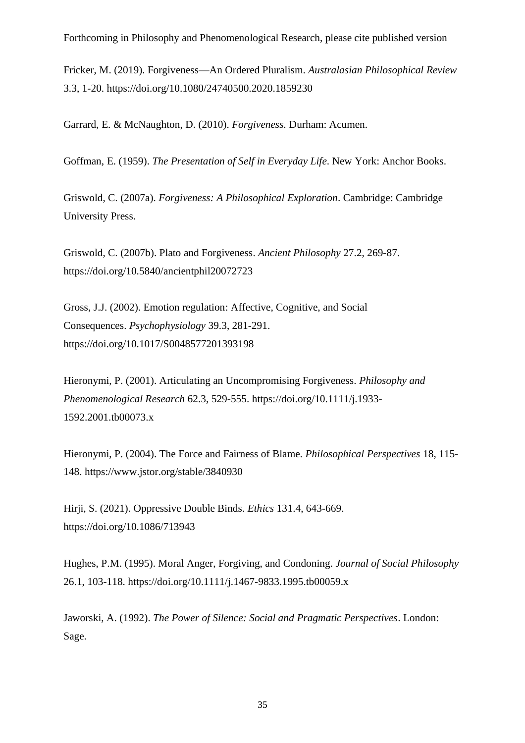Fricker, M. (2019). Forgiveness—An Ordered Pluralism. *Australasian Philosophical Review* 3.3, 1-20. https://doi.org/10.1080/24740500.2020.1859230

Garrard, E. & McNaughton, D. (2010). *Forgiveness.* Durham: Acumen.

Goffman, E. (1959). *The Presentation of Self in Everyday Life*. New York: Anchor Books.

Griswold, C. (2007a). *Forgiveness: A Philosophical Exploration*. Cambridge: Cambridge University Press.

Griswold, C. (2007b). Plato and Forgiveness. *Ancient Philosophy* 27.2, 269-87. https://doi.org/10.5840/ancientphil20072723

Gross, J.J. (2002). Emotion regulation: Affective, Cognitive, and Social Consequences. *Psychophysiology* 39.3, 281-291. https://doi.org/10.1017/S0048577201393198

Hieronymi, P. (2001). Articulating an Uncompromising Forgiveness. *Philosophy and Phenomenological Research* 62.3, 529-555. https://doi.org/10.1111/j.1933- 1592.2001.tb00073.x

Hieronymi, P. (2004). The Force and Fairness of Blame. *Philosophical Perspectives* 18, 115- 148. https://www.jstor.org/stable/3840930

Hirji, S. (2021). Oppressive Double Binds. *Ethics* 131.4, 643-669. https://doi.org/10.1086/713943

Hughes, P.M. (1995). Moral Anger, Forgiving, and Condoning. *Journal of Social Philosophy* 26.1, 103-118. https://doi.org/10.1111/j.1467-9833.1995.tb00059.x

Jaworski, A. (1992). *The Power of Silence: Social and Pragmatic Perspectives*. London: Sage.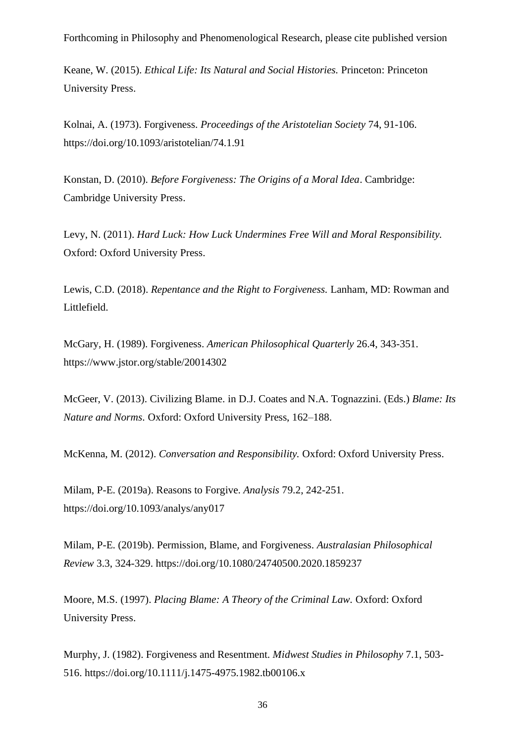Keane, W. (2015). *Ethical Life: Its Natural and Social Histories.* Princeton: Princeton University Press.

Kolnai, A. (1973). Forgiveness. *Proceedings of the Aristotelian Society* 74, 91-106. https://doi.org/10.1093/aristotelian/74.1.91

Konstan, D. (2010). *Before Forgiveness: The Origins of a Moral Idea*. Cambridge: Cambridge University Press.

Levy, N. (2011). *Hard Luck: How Luck Undermines Free Will and Moral Responsibility.* Oxford: Oxford University Press.

Lewis, C.D. (2018). *Repentance and the Right to Forgiveness.* Lanham, MD: Rowman and Littlefield.

McGary, H. (1989). Forgiveness. *American Philosophical Quarterly* 26.4, 343-351. https://www.jstor.org/stable/20014302

McGeer, V. (2013). Civilizing Blame. in D.J. Coates and N.A. Tognazzini. (Eds.) *Blame: Its Nature and Norms.* Oxford: Oxford University Press, 162–188.

McKenna, M. (2012). *Conversation and Responsibility.* Oxford: Oxford University Press.

Milam, P-E. (2019a). Reasons to Forgive. *Analysis* 79.2, 242-251. https://doi.org/10.1093/analys/any017

Milam, P-E. (2019b). Permission, Blame, and Forgiveness. *Australasian Philosophical Review* 3.3, 324-329. https://doi.org/10.1080/24740500.2020.1859237

Moore, M.S. (1997). *Placing Blame: A Theory of the Criminal Law.* Oxford: Oxford University Press.

Murphy, J. (1982). Forgiveness and Resentment. *Midwest Studies in Philosophy* 7.1, 503- 516. https://doi.org/10.1111/j.1475-4975.1982.tb00106.x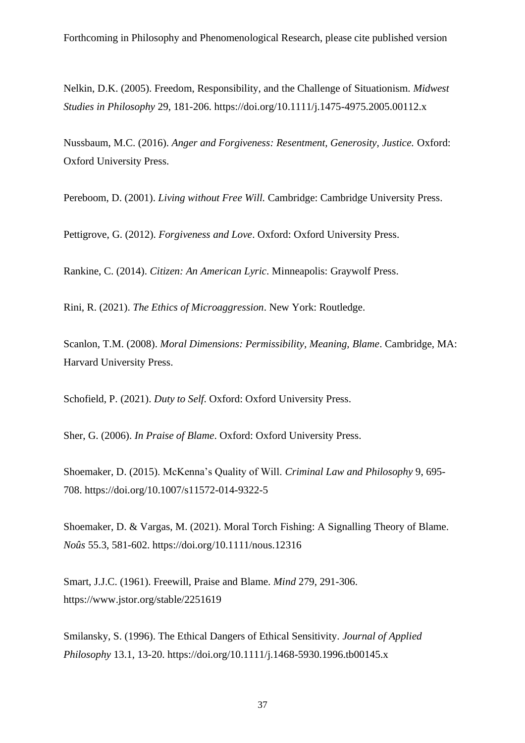Nelkin, D.K. (2005). Freedom, Responsibility, and the Challenge of Situationism. *Midwest Studies in Philosophy* 29, 181-206. https://doi.org/10.1111/j.1475-4975.2005.00112.x

Nussbaum, M.C. (2016). *Anger and Forgiveness: Resentment, Generosity, Justice.* Oxford: Oxford University Press.

Pereboom, D. (2001). *Living without Free Will.* Cambridge: Cambridge University Press.

Pettigrove, G. (2012). *Forgiveness and Love*. Oxford: Oxford University Press.

Rankine, C. (2014). *Citizen: An American Lyric*. Minneapolis: Graywolf Press.

Rini, R. (2021). *The Ethics of Microaggression*. New York: Routledge.

Scanlon, T.M. (2008). *Moral Dimensions: Permissibility, Meaning, Blame*. Cambridge, MA: Harvard University Press.

Schofield, P. (2021). *Duty to Self*. Oxford: Oxford University Press.

Sher, G. (2006). *In Praise of Blame*. Oxford: Oxford University Press.

Shoemaker, D. (2015). McKenna's Quality of Will. *Criminal Law and Philosophy* 9, 695- 708. https://doi.org/10.1007/s11572-014-9322-5

Shoemaker, D. & Vargas, M. (2021). Moral Torch Fishing: A Signalling Theory of Blame. *Noûs* 55.3, 581-602. https://doi.org/10.1111/nous.12316

Smart, J.J.C. (1961). Freewill, Praise and Blame. *Mind* 279, 291-306. https://www.jstor.org/stable/2251619

Smilansky, S. (1996). The Ethical Dangers of Ethical Sensitivity. *Journal of Applied Philosophy* 13.1, 13-20. https://doi.org/10.1111/j.1468-5930.1996.tb00145.x